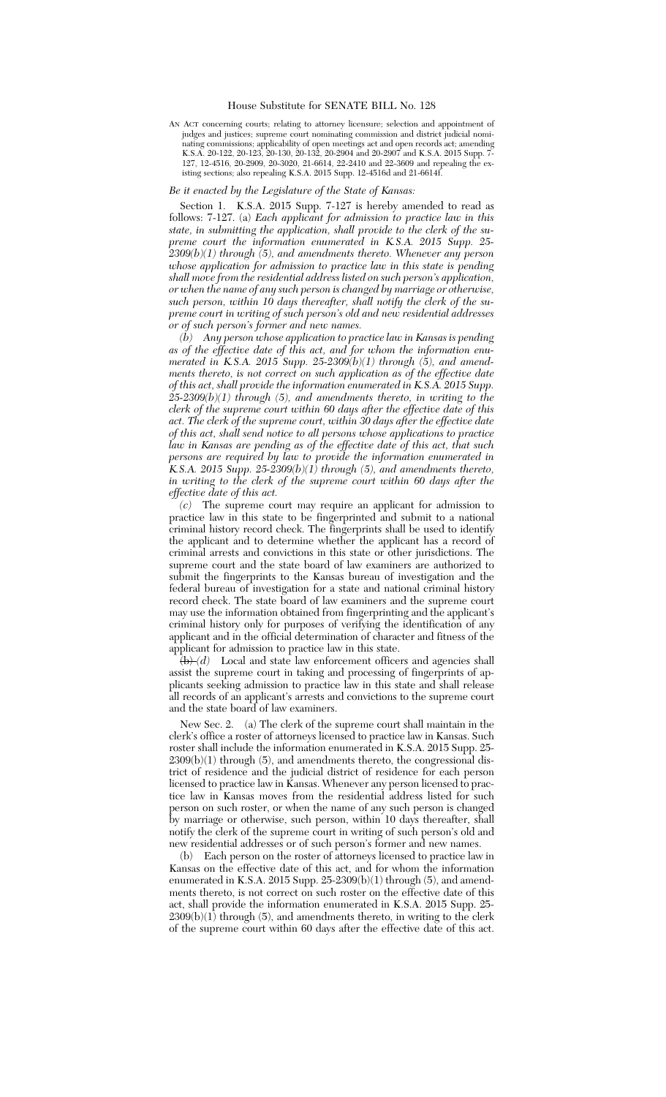## House Substitute for SENATE BILL No. 128

AN ACT concerning courts; relating to attorney licensure; selection and appointment of judges and justices; supreme court nominating commission and district judicial nominating commissions; applicability of open meetings act and open records act; amending K.S.A. 20-122, 20-123, 20-130, 20-132, 20-2904 and 20-2907 and K.S.A. 2015 Supp. 7- 127, 12-4516, 20-2909, 20-3020, 21-6614, 22-2410 and 22-3609 and repealing the existing sections; also repealing K.S.A. 2015 Supp. 12-4516d and 21-6614f.

## *Be it enacted by the Legislature of the State of Kansas:*

Section 1. K.S.A. 2015 Supp. 7-127 is hereby amended to read as follows: 7-127. (a) *Each applicant for admission to practice law in this state, in submitting the application, shall provide to the clerk of the supreme court the information enumerated in K.S.A. 2015 Supp. 25- 2309(b)(1) through (5), and amendments thereto. Whenever any person whose application for admission to practice law in this state is pending shall move from the residential address listed on such person's application, or when the name of any such person is changed by marriage or otherwise, such person, within 10 days thereafter, shall notify the clerk of the supreme court in writing of such person's old and new residential addresses or of such person's former and new names.*

*(b) Any person whose application to practice law in Kansas is pending as of the effective date of this act, and for whom the information enumerated in K.S.A. 2015 Supp. 25-2309(b)(1) through (5), and amendments thereto, is not correct on such application as of the effective date of this act, shall provide the information enumerated in K.S.A. 2015 Supp. 25-2309(b)(1) through (5), and amendments thereto, in writing to the clerk of the supreme court within 60 days after the effective date of this act. The clerk of the supreme court, within 30 days after the effective date of this act, shall send notice to all persons whose applications to practice law in Kansas are pending as of the effective date of this act, that such persons are required by law to provide the information enumerated in K.S.A. 2015 Supp. 25-2309(b)(1) through (5), and amendments thereto, in writing to the clerk of the supreme court within 60 days after the effective date of this act.*

*(c)* The supreme court may require an applicant for admission to practice law in this state to be fingerprinted and submit to a national criminal history record check. The fingerprints shall be used to identify the applicant and to determine whether the applicant has a record of criminal arrests and convictions in this state or other jurisdictions. The supreme court and the state board of law examiners are authorized to submit the fingerprints to the Kansas bureau of investigation and the federal bureau of investigation for a state and national criminal history record check. The state board of law examiners and the supreme court may use the information obtained from fingerprinting and the applicant's criminal history only for purposes of verifying the identification of any applicant and in the official determination of character and fitness of the applicant for admission to practice law in this state.

 $\left(\frac{b}{d}\right)$  Local and state law enforcement officers and agencies shall assist the supreme court in taking and processing of fingerprints of applicants seeking admission to practice law in this state and shall release all records of an applicant's arrests and convictions to the supreme court and the state board of law examiners.

New Sec. 2. (a) The clerk of the supreme court shall maintain in the clerk's office a roster of attorneys licensed to practice law in Kansas. Such roster shall include the information enumerated in K.S.A. 2015 Supp. 25-  $2309(b)(1)$  through  $(5)$ , and amendments thereto, the congressional district of residence and the judicial district of residence for each person licensed to practice law in Kansas. Whenever any person licensed to practice law in Kansas moves from the residential address listed for such person on such roster, or when the name of any such person is changed by marriage or otherwise, such person, within 10 days thereafter, shall notify the clerk of the supreme court in writing of such person's old and new residential addresses or of such person's former and new names.

(b) Each person on the roster of attorneys licensed to practice law in Kansas on the effective date of this act, and for whom the information enumerated in K.S.A. 2015 Supp. 25-2309(b)(1) through (5), and amendments thereto, is not correct on such roster on the effective date of this act, shall provide the information enumerated in K.S.A. 2015 Supp. 25-  $2309(b)(1)$  through (5), and amendments thereto, in writing to the clerk of the supreme court within 60 days after the effective date of this act.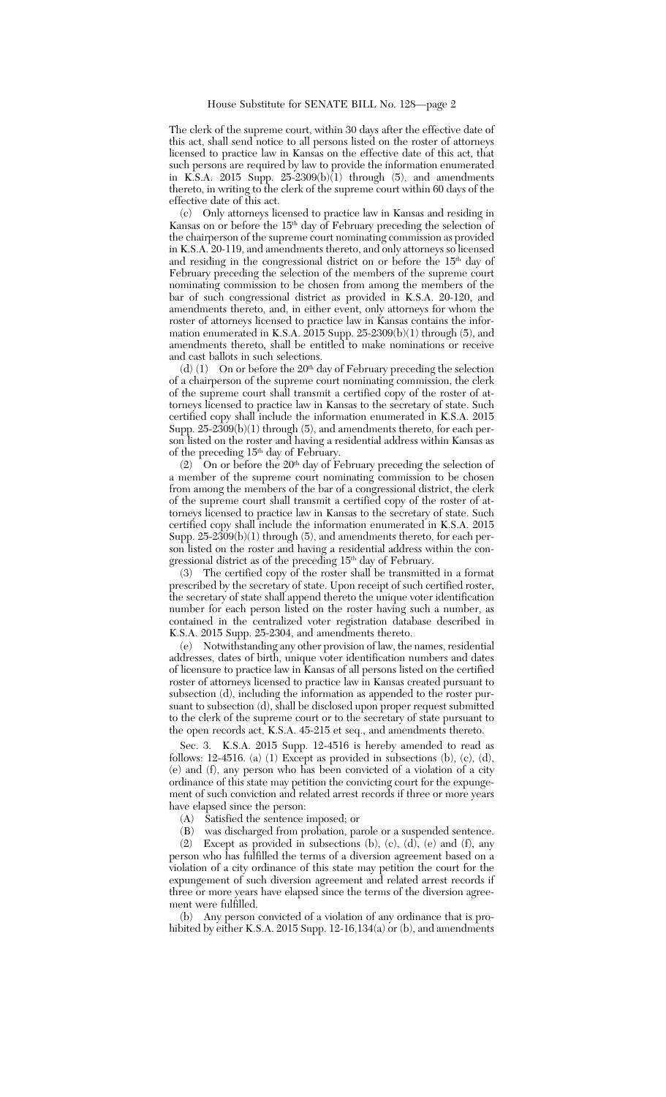The clerk of the supreme court, within 30 days after the effective date of this act, shall send notice to all persons listed on the roster of attorneys licensed to practice law in Kansas on the effective date of this act, that such persons are required by law to provide the information enumerated in K.S.A. 2015 Supp. 25-2309(b)(1) through (5), and amendments thereto, in writing to the clerk of the supreme court within 60 days of the effective date of this act.

(c) Only attorneys licensed to practice law in Kansas and residing in Kansas on or before the 15th day of February preceding the selection of the chairperson of the supreme court nominating commission as provided in K.S.A. 20-119, and amendments thereto, and only attorneys so licensed and residing in the congressional district on or before the 15<sup>th</sup> day of February preceding the selection of the members of the supreme court nominating commission to be chosen from among the members of the bar of such congressional district as provided in K.S.A. 20-120, and amendments thereto, and, in either event, only attorneys for whom the roster of attorneys licensed to practice law in Kansas contains the information enumerated in K.S.A. 2015 Supp. 25-2309(b)(1) through (5), and amendments thereto, shall be entitled to make nominations or receive and cast ballots in such selections.

(d)  $(1)$  On or before the 20<sup>th</sup> day of February preceding the selection of a chairperson of the supreme court nominating commission, the clerk of the supreme court shall transmit a certified copy of the roster of attorneys licensed to practice law in Kansas to the secretary of state. Such certified copy shall include the information enumerated in K.S.A. 2015 Supp.  $25-2309(b)(1)$  through (5), and amendments thereto, for each person listed on the roster and having a residential address within Kansas as of the preceding 15th day of February.

(2) On or before the  $20<sup>th</sup>$  day of February preceding the selection of a member of the supreme court nominating commission to be chosen from among the members of the bar of a congressional district, the clerk of the supreme court shall transmit a certified copy of the roster of attorneys licensed to practice law in Kansas to the secretary of state. Such certified copy shall include the information enumerated in K.S.A. 2015 Supp.  $25-2309(b)(1)$  through (5), and amendments thereto, for each person listed on the roster and having a residential address within the congressional district as of the preceding 15<sup>th</sup> day of February.

(3) The certified copy of the roster shall be transmitted in a format prescribed by the secretary of state. Upon receipt of such certified roster, the secretary of state shall append thereto the unique voter identification number for each person listed on the roster having such a number, as contained in the centralized voter registration database described in K.S.A. 2015 Supp. 25-2304, and amendments thereto.

(e) Notwithstanding any other provision of law, the names, residential addresses, dates of birth, unique voter identification numbers and dates of licensure to practice law in Kansas of all persons listed on the certified roster of attorneys licensed to practice law in Kansas created pursuant to subsection (d), including the information as appended to the roster pursuant to subsection (d), shall be disclosed upon proper request submitted to the clerk of the supreme court or to the secretary of state pursuant to the open records act, K.S.A. 45-215 et seq., and amendments thereto.

Sec. 3. K.S.A. 2015 Supp. 12-4516 is hereby amended to read as follows: 12-4516. (a) (1) Except as provided in subsections (b), (c), (d), (e) and (f), any person who has been convicted of a violation of a city ordinance of this state may petition the convicting court for the expungement of such conviction and related arrest records if three or more years have elapsed since the person:

(A) Satisfied the sentence imposed; or

(B) was discharged from probation, parole or a suspended sentence.

(2) Except as provided in subsections (b), (c), (d), (e) and (f), any person who has fulfilled the terms of a diversion agreement based on a violation of a city ordinance of this state may petition the court for the expungement of such diversion agreement and related arrest records if three or more years have elapsed since the terms of the diversion agreement were fulfilled.

(b) Any person convicted of a violation of any ordinance that is prohibited by either K.S.A. 2015 Supp. 12-16,134(a) or (b), and amendments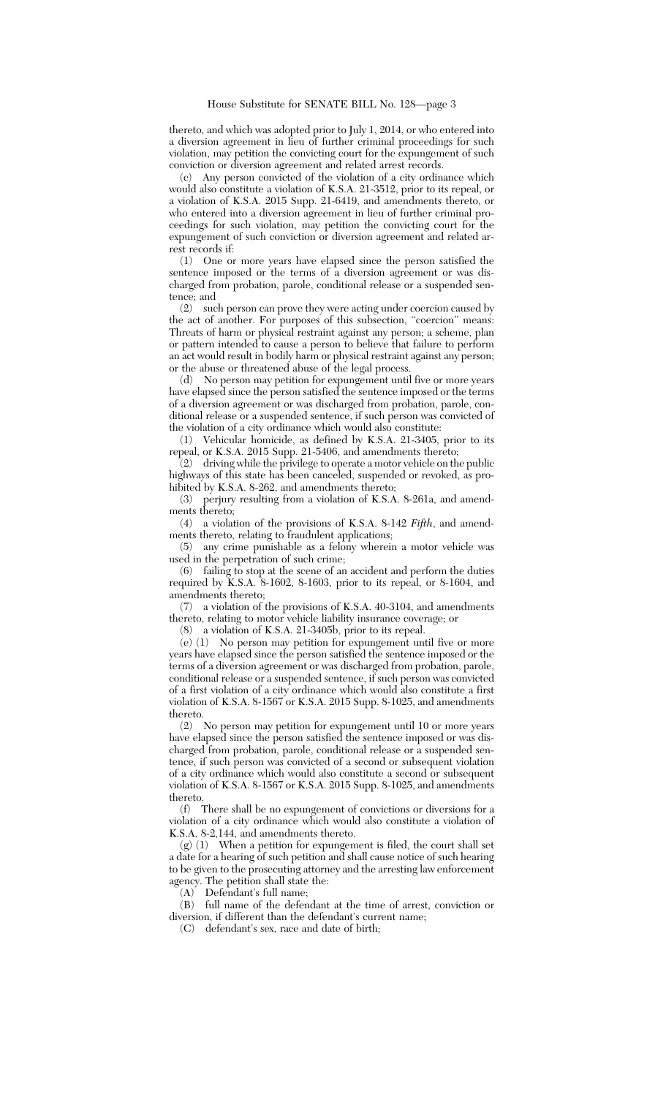thereto, and which was adopted prior to July 1, 2014, or who entered into a diversion agreement in lieu of further criminal proceedings for such violation, may petition the convicting court for the expungement of such conviction or diversion agreement and related arrest records.

(c) Any person convicted of the violation of a city ordinance which would also constitute a violation of K.S.A. 21-3512, prior to its repeal, or a violation of K.S.A. 2015 Supp. 21-6419, and amendments thereto, or who entered into a diversion agreement in lieu of further criminal proceedings for such violation, may petition the convicting court for the expungement of such conviction or diversion agreement and related arrest records if:

(1) One or more years have elapsed since the person satisfied the sentence imposed or the terms of a diversion agreement or was discharged from probation, parole, conditional release or a suspended sentence; and

(2) such person can prove they were acting under coercion caused by the act of another. For purposes of this subsection, "coercion" means: Threats of harm or physical restraint against any person; a scheme, plan or pattern intended to cause a person to believe that failure to perform an act would result in bodily harm or physical restraint against any person; or the abuse or threatened abuse of the legal process.

(d) No person may petition for expungement until five or more years have elapsed since the person satisfied the sentence imposed or the terms of a diversion agreement or was discharged from probation, parole, conditional release or a suspended sentence, if such person was convicted of the violation of a city ordinance which would also constitute:<br>(1) Vehicular homicide, as defined by K.S.A. 21-3405.

Vehicular homicide, as defined by K.S.A. 21-3405, prior to its repeal, or K.S.A. 2015 Supp. 21-5406, and amendments thereto;

 $(2)$  driving while the privilege to operate a motor vehicle on the public highways of this state has been canceled, suspended or revoked, as prohibited by K.S.A. 8-262, and amendments thereto;

(3) perjury resulting from a violation of K.S.A. 8-261a, and amendments thereto;

(4) a violation of the provisions of K.S.A. 8-142 *Fifth*, and amendments thereto, relating to fraudulent applications;

(5) any crime punishable as a felony wherein a motor vehicle was used in the perpetration of such crime;

(6) failing to stop at the scene of an accident and perform the duties required by K.S.A. 8-1602, 8-1603, prior to its repeal, or 8-1604, and amendments thereto;

(7) a violation of the provisions of K.S.A. 40-3104, and amendments thereto, relating to motor vehicle liability insurance coverage; or

(8) a violation of K.S.A. 21-3405b, prior to its repeal.

(e) (1) No person may petition for expungement until five or more years have elapsed since the person satisfied the sentence imposed or the terms of a diversion agreement or was discharged from probation, parole, conditional release or a suspended sentence, if such person was convicted of a first violation of a city ordinance which would also constitute a first violation of K.S.A. 8-1567 or K.S.A. 2015 Supp. 8-1025, and amendments thereto.

(2) No person may petition for expungement until 10 or more years have elapsed since the person satisfied the sentence imposed or was discharged from probation, parole, conditional release or a suspended sentence, if such person was convicted of a second or subsequent violation of a city ordinance which would also constitute a second or subsequent violation of K.S.A. 8-1567 or K.S.A. 2015 Supp. 8-1025, and amendments thereto.

(f) There shall be no expungement of convictions or diversions for a violation of a city ordinance which would also constitute a violation of K.S.A. 8-2,144, and amendments thereto.

(g) (1) When a petition for expungement is filed, the court shall set a date for a hearing of such petition and shall cause notice of such hearing to be given to the prosecuting attorney and the arresting law enforcement agency. The petition shall state the:

(A) Defendant's full name;

(B) full name of the defendant at the time of arrest, conviction or diversion, if different than the defendant's current name;

(C) defendant's sex, race and date of birth;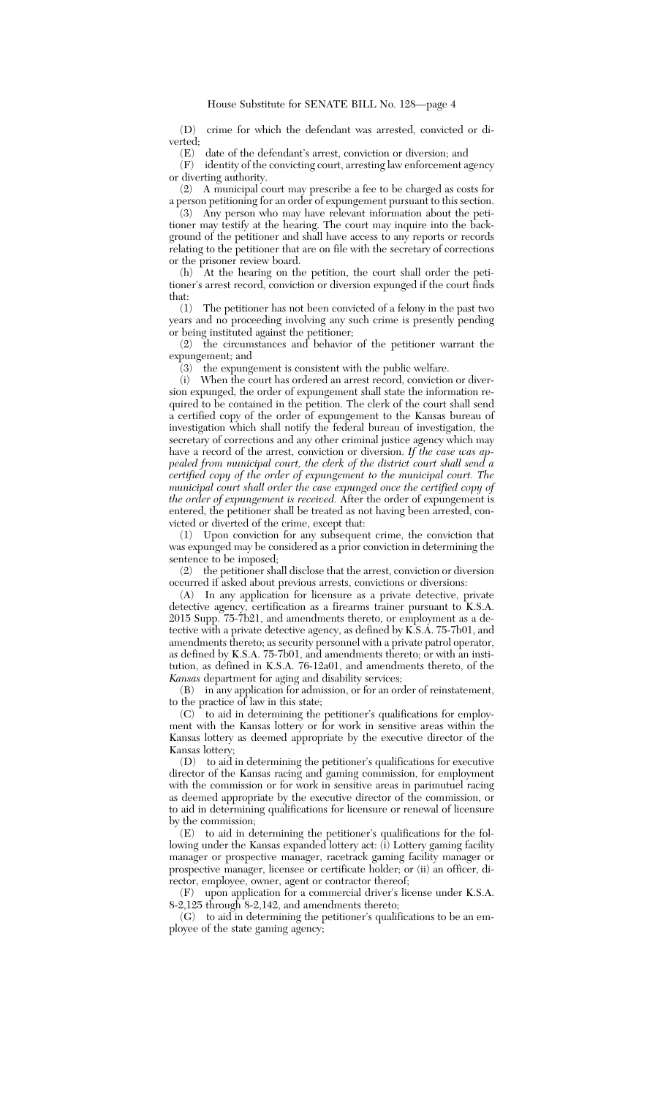(D) crime for which the defendant was arrested, convicted or diverted;<br>(E)

(E) date of the defendant's arrest, conviction or diversion; and

identity of the convicting court, arresting law enforcement agency or diverting authority.

(2) A municipal court may prescribe a fee to be charged as costs for a person petitioning for an order of expungement pursuant to this section.

(3) Any person who may have relevant information about the petitioner may testify at the hearing. The court may inquire into the background of the petitioner and shall have access to any reports or records relating to the petitioner that are on file with the secretary of corrections or the prisoner review board.

(h) At the hearing on the petition, the court shall order the petitioner's arrest record, conviction or diversion expunged if the court finds that:

(1) The petitioner has not been convicted of a felony in the past two years and no proceeding involving any such crime is presently pending or being instituted against the petitioner;

(2) the circumstances and behavior of the petitioner warrant the expungement; and

 $(3)$  the expungement is consistent with the public welfare.<br>(i) When the court has ordered an arrest record, conviction

When the court has ordered an arrest record, conviction or diversion expunged, the order of expungement shall state the information required to be contained in the petition. The clerk of the court shall send a certified copy of the order of expungement to the Kansas bureau of investigation which shall notify the federal bureau of investigation, the secretary of corrections and any other criminal justice agency which may have a record of the arrest, conviction or diversion. *If the case was appealed from municipal court, the clerk of the district court shall send a certified copy of the order of expungement to the municipal court. The municipal court shall order the case expunged once the certified copy of the order of expungement is received.* After the order of expungement is entered, the petitioner shall be treated as not having been arrested, convicted or diverted of the crime, except that:

(1) Upon conviction for any subsequent crime, the conviction that was expunged may be considered as a prior conviction in determining the sentence to be imposed;

(2) the petitioner shall disclose that the arrest, conviction or diversion occurred if asked about previous arrests, convictions or diversions:

(A) In any application for licensure as a private detective, private detective agency, certification as a firearms trainer pursuant to K.S.A. 2015 Supp. 75-7b21, and amendments thereto, or employment as a detective with a private detective agency, as defined by K.S.A. 75-7b01, and amendments thereto; as security personnel with a private patrol operator, as defined by K.S.A. 75-7b01, and amendments thereto; or with an institution, as defined in K.S.A. 76-12a01, and amendments thereto, of the *Kansas* department for aging and disability services;

(B) in any application for admission, or for an order of reinstatement, to the practice of law in this state;

 $(C)$  to aid in determining the petitioner's qualifications for employment with the Kansas lottery or for work in sensitive areas within the Kansas lottery as deemed appropriate by the executive director of the Kansas lottery;

(D) to aid in determining the petitioner's qualifications for executive director of the Kansas racing and gaming commission, for employment with the commission or for work in sensitive areas in parimutuel racing as deemed appropriate by the executive director of the commission, or to aid in determining qualifications for licensure or renewal of licensure by the commission;

(E) to aid in determining the petitioner's qualifications for the following under the Kansas expanded lottery act: (i) Lottery gaming facility manager or prospective manager, racetrack gaming facility manager or prospective manager, licensee or certificate holder; or (ii) an officer, director, employee, owner, agent or contractor thereof;

(F) upon application for a commercial driver's license under K.S.A. 8-2,125 through 8-2,142, and amendments thereto;

(G) to aid in determining the petitioner's qualifications to be an employee of the state gaming agency;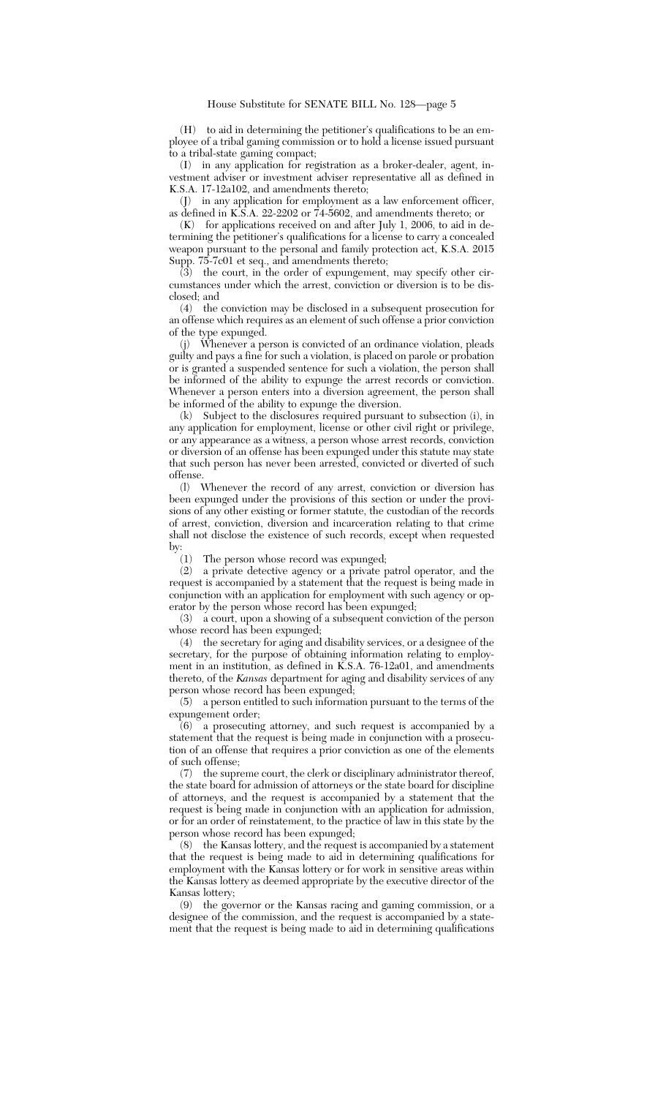(H) to aid in determining the petitioner's qualifications to be an employee of a tribal gaming commission or to hold a license issued pursuant to a tribal-state gaming compact;

(I) in any application for registration as a broker-dealer, agent, investment adviser or investment adviser representative all as defined in K.S.A. 17-12a102, and amendments thereto;

(J) in any application for employment as a law enforcement officer, as defined in K.S.A. 22-2202 or 74-5602, and amendments thereto; or

 $(K)$  for applications received on and after July 1, 2006, to aid in determining the petitioner's qualifications for a license to carry a concealed weapon pursuant to the personal and family protection act, K.S.A. 2015 Supp. 75-7c01 et seq., and amendments thereto;

 $(\overline{3})$  the court, in the order of expungement, may specify other circumstances under which the arrest, conviction or diversion is to be disclosed; and

(4) the conviction may be disclosed in a subsequent prosecution for an offense which requires as an element of such offense a prior conviction of the type expunged.

(j) Whenever a person is convicted of an ordinance violation, pleads guilty and pays a fine for such a violation, is placed on parole or probation or is granted a suspended sentence for such a violation, the person shall be informed of the ability to expunge the arrest records or conviction. Whenever a person enters into a diversion agreement, the person shall be informed of the ability to expunge the diversion.

(k) Subject to the disclosures required pursuant to subsection (i), in any application for employment, license or other civil right or privilege, or any appearance as a witness, a person whose arrest records, conviction or diversion of an offense has been expunged under this statute may state that such person has never been arrested, convicted or diverted of such offense.

(l) Whenever the record of any arrest, conviction or diversion has been expunged under the provisions of this section or under the provisions of any other existing or former statute, the custodian of the records of arrest, conviction, diversion and incarceration relating to that crime shall not disclose the existence of such records, except when requested by:  $\binom{1}{1}$ 

The person whose record was expunged;

(2) a private detective agency or a private patrol operator, and the request is accompanied by a statement that the request is being made in conjunction with an application for employment with such agency or operator by the person whose record has been expunged;

(3) a court, upon a showing of a subsequent conviction of the person whose record has been expunged;

(4) the secretary for aging and disability services, or a designee of the secretary, for the purpose of obtaining information relating to employment in an institution, as defined in K.S.A. 76-12a01, and amendments thereto, of the *Kansas* department for aging and disability services of any person whose record has been expunged;

(5) a person entitled to such information pursuant to the terms of the expungement order;

(6) a prosecuting attorney, and such request is accompanied by a statement that the request is being made in conjunction with a prosecution of an offense that requires a prior conviction as one of the elements of such offense;

(7) the supreme court, the clerk or disciplinary administrator thereof, the state board for admission of attorneys or the state board for discipline of attorneys, and the request is accompanied by a statement that the request is being made in conjunction with an application for admission, or for an order of reinstatement, to the practice of law in this state by the person whose record has been expunged;

(8) the Kansas lottery, and the request is accompanied by a statement that the request is being made to aid in determining qualifications for employment with the Kansas lottery or for work in sensitive areas within the Kansas lottery as deemed appropriate by the executive director of the Kansas lottery;

(9) the governor or the Kansas racing and gaming commission, or a designee of the commission, and the request is accompanied by a statement that the request is being made to aid in determining qualifications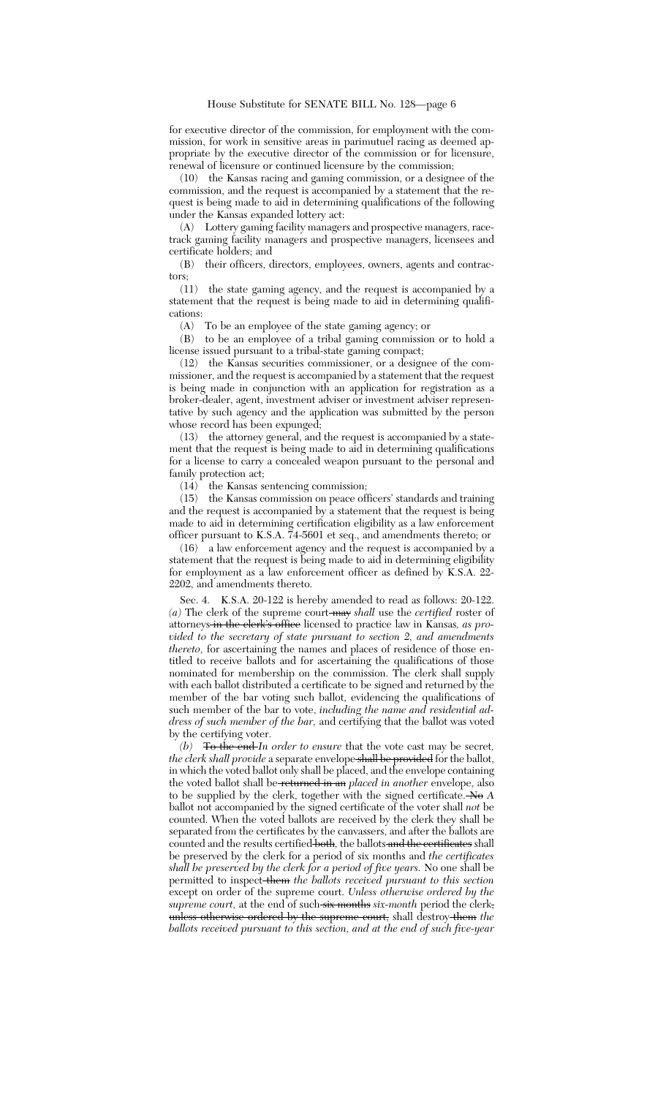for executive director of the commission, for employment with the commission, for work in sensitive areas in parimutuel racing as deemed appropriate by the executive director of the commission or for licensure, renewal of licensure or continued licensure by the commission;

(10) the Kansas racing and gaming commission, or a designee of the commission, and the request is accompanied by a statement that the request is being made to aid in determining qualifications of the following under the Kansas expanded lottery act:

(A) Lottery gaming facility managers and prospective managers, racetrack gaming facility managers and prospective managers, licensees and certificate holders; and

(B) their officers, directors, employees, owners, agents and contractors;

(11) the state gaming agency, and the request is accompanied by a statement that the request is being made to aid in determining qualifications:

(A) To be an employee of the state gaming agency; or

(B) to be an employee of a tribal gaming commission or to hold a license issued pursuant to a tribal-state gaming compact;

(12) the Kansas securities commissioner, or a designee of the commissioner, and the request is accompanied by a statement that the request is being made in conjunction with an application for registration as a broker-dealer, agent, investment adviser or investment adviser representative by such agency and the application was submitted by the person whose record has been expunged;

(13) the attorney general, and the request is accompanied by a statement that the request is being made to aid in determining qualifications for a license to carry a concealed weapon pursuant to the personal and family protection act;

(14) the Kansas sentencing commission;

(15) the Kansas commission on peace officers' standards and training and the request is accompanied by a statement that the request is being made to aid in determining certification eligibility as a law enforcement officer pursuant to K.S.A. 74-5601 et seq., and amendments thereto; or

(16) a law enforcement agency and the request is accompanied by a statement that the request is being made to aid in determining eligibility for employment as a law enforcement officer as defined by K.S.A. 22- 2202, and amendments thereto.

Sec. 4. K.S.A. 20-122 is hereby amended to read as follows: 20-122. *(a)* The clerk of the supreme court may *shall* use the *certified* roster of attorneys in the clerk's office licensed to practice law in Kansas*, as provided to the secretary of state pursuant to section 2, and amendments thereto,* for ascertaining the names and places of residence of those entitled to receive ballots and for ascertaining the qualifications of those nominated for membership on the commission. The clerk shall supply with each ballot distributed a certificate to be signed and returned by the member of the bar voting such ballot, evidencing the qualifications of such member of the bar to vote, *including the name and residential address of such member of the bar,* and certifying that the ballot was voted by the certifying voter.

*(b)* To the end *In order to ensure* that the vote cast may be secret*, the clerk shall provide* a separate envelope shall be provided for the ballot, in which the voted ballot only shall be placed, and the envelope containing the voted ballot shall be returned in an *placed in another* envelope, also to be supplied by the clerk, together with the signed certificate. No *A* ballot not accompanied by the signed certificate of the voter shall *not* be counted. When the voted ballots are received by the clerk they shall be separated from the certificates by the canvassers, and after the ballots are counted and the results certified both, the ballots and the certificates shall be preserved by the clerk for a period of six months and *the certificates shall be preserved by the clerk for a period of five years.* No one shall be permitted to inspect them *the ballots received pursuant to this section* except on order of the supreme court. *Unless otherwise ordered by the supreme court*, at the end of such six months *six-month* period the clerk, unless otherwise ordered by the supreme court, shall destroy them *the ballots received pursuant to this section, and at the end of such five-year*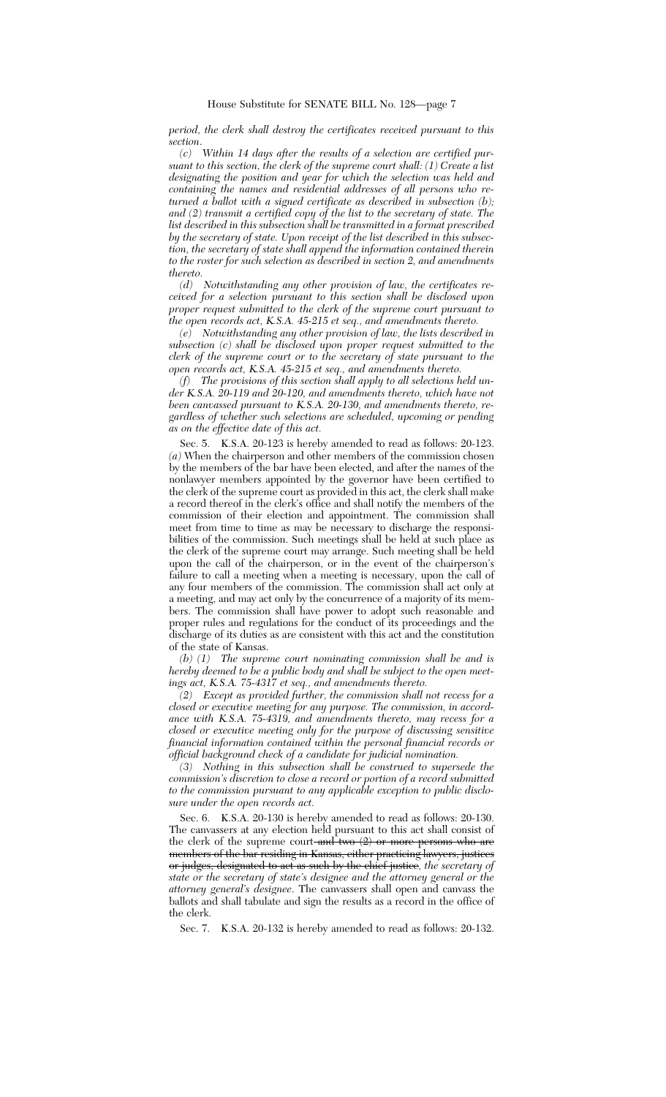*period, the clerk shall destroy the certificates received pursuant to this section*.

*(c) Within 14 days after the results of a selection are certified pursuant to this section, the clerk of the supreme court shall: (1) Create a list designating the position and year for which the selection was held and containing the names and residential addresses of all persons who returned a ballot with a signed certificate as described in subsection (b); and (2) transmit a certified copy of the list to the secretary of state. The list described in this subsection shall be transmitted in a format prescribed by the secretary of state. Upon receipt of the list described in this subsection, the secretary of state shall append the information contained therein to the roster for such selection as described in section 2, and amendments thereto.*

*(d) Notwithstanding any other provision of law, the certificates received for a selection pursuant to this section shall be disclosed upon proper request submitted to the clerk of the supreme court pursuant to the open records act, K.S.A. 45-215 et seq., and amendments thereto.*

*(e) Notwithstanding any other provision of law, the lists described in subsection (c) shall be disclosed upon proper request submitted to the clerk of the supreme court or to the secretary of state pursuant to the open records act, K.S.A. 45-215 et seq., and amendments thereto.*

*(f) The provisions of this section shall apply to all selections held under K.S.A. 20-119 and 20-120, and amendments thereto, which have not been canvassed pursuant to K.S.A. 20-130, and amendments thereto, regardless of whether such selections are scheduled, upcoming or pending as on the effective date of this act.*

Sec. 5. K.S.A. 20-123 is hereby amended to read as follows: 20-123. *(a)* When the chairperson and other members of the commission chosen by the members of the bar have been elected, and after the names of the nonlawyer members appointed by the governor have been certified to the clerk of the supreme court as provided in this act, the clerk shall make a record thereof in the clerk's office and shall notify the members of the commission of their election and appointment. The commission shall meet from time to time as may be necessary to discharge the responsibilities of the commission. Such meetings shall be held at such place as the clerk of the supreme court may arrange. Such meeting shall be held upon the call of the chairperson, or in the event of the chairperson's failure to call a meeting when a meeting is necessary, upon the call of any four members of the commission. The commission shall act only at a meeting, and may act only by the concurrence of a majority of its members. The commission shall have power to adopt such reasonable and proper rules and regulations for the conduct of its proceedings and the discharge of its duties as are consistent with this act and the constitution of the state of Kansas.

*(b) (1) The supreme court nominating commission shall be and is hereby deemed to be a public body and shall be subject to the open meetings act, K.S.A. 75-4317 et seq., and amendments thereto.*

*(2) Except as provided further, the commission shall not recess for a closed or executive meeting for any purpose. The commission, in accordance with K.S.A. 75-4319, and amendments thereto, may recess for a closed or executive meeting only for the purpose of discussing sensitive financial information contained within the personal financial records or official background check of a candidate for judicial nomination.*

*(3) Nothing in this subsection shall be construed to supersede the commission's discretion to close a record or portion of a record submitted to the commission pursuant to any applicable exception to public disclosure under the open records act.*

Sec. 6. K.S.A. 20-130 is hereby amended to read as follows: 20-130. The canvassers at any election held pursuant to this act shall consist of the clerk of the supreme court and two  $(2)$  or more persons who are members of the bar residing in Kansas, either practicing lawyers, justices or judges, designated to act as such by the chief justice*, the secretary of state or the secretary of state's designee and the attorney general or the attorney general's designee*. The canvassers shall open and canvass the ballots and shall tabulate and sign the results as a record in the office of the clerk.

Sec. 7. K.S.A. 20-132 is hereby amended to read as follows: 20-132.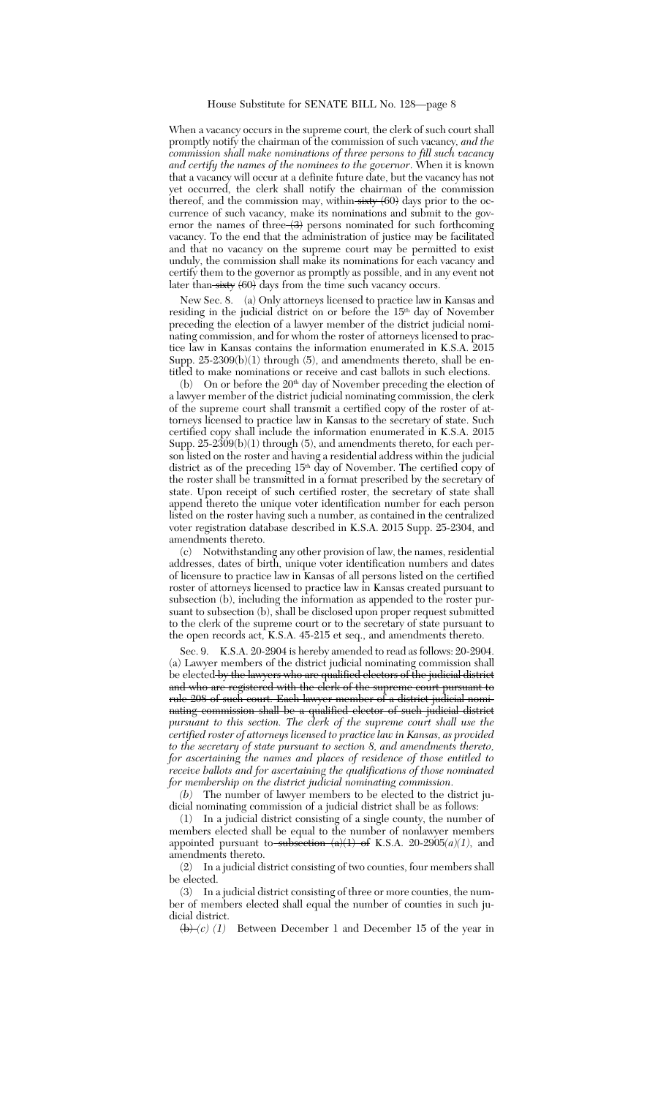When a vacancy occurs in the supreme court*,* the clerk of such court shall promptly notify the chairman of the commission of such vacancy*, and the commission shall make nominations of three persons to fill such vacancy and certify the names of the nominees to the governor*. When it is known that a vacancy will occur at a definite future date, but the vacancy has not yet occurred, the clerk shall notify the chairman of the commission thereof, and the commission may, within  $\frac{1}{\sqrt{2}}$  (60) days prior to the occurrence of such vacancy, make its nominations and submit to the governor the names of three  $\left\langle 3 \right\rangle$  persons nominated for such forthcoming vacancy. To the end that the administration of justice may be facilitated and that no vacancy on the supreme court may be permitted to exist unduly, the commission shall make its nominations for each vacancy and certify them to the governor as promptly as possible, and in any event not later than  $\frac{1}{\sqrt{60}}$  days from the time such vacancy occurs.

New Sec. 8. (a) Only attorneys licensed to practice law in Kansas and residing in the judicial district on or before the 15th day of November preceding the election of a lawyer member of the district judicial nominating commission, and for whom the roster of attorneys licensed to practice law in Kansas contains the information enumerated in K.S.A. 2015 Supp. 25-2309(b)(1) through (5), and amendments thereto, shall be entitled to make nominations or receive and cast ballots in such elections.

(b) On or before the  $20<sup>th</sup>$  day of November preceding the election of a lawyer member of the district judicial nominating commission, the clerk of the supreme court shall transmit a certified copy of the roster of attorneys licensed to practice law in Kansas to the secretary of state. Such certified copy shall include the information enumerated in K.S.A. 2015 Supp. 25-2309(b)(1) through (5), and amendments thereto, for each person listed on the roster and having a residential address within the judicial district as of the preceding 15<sup>th</sup> day of November. The certified copy of the roster shall be transmitted in a format prescribed by the secretary of state. Upon receipt of such certified roster, the secretary of state shall append thereto the unique voter identification number for each person listed on the roster having such a number, as contained in the centralized voter registration database described in K.S.A. 2015 Supp. 25-2304, and amendments thereto.

(c) Notwithstanding any other provision of law, the names, residential addresses, dates of birth, unique voter identification numbers and dates of licensure to practice law in Kansas of all persons listed on the certified roster of attorneys licensed to practice law in Kansas created pursuant to subsection (b), including the information as appended to the roster pursuant to subsection (b), shall be disclosed upon proper request submitted to the clerk of the supreme court or to the secretary of state pursuant to the open records act, K.S.A. 45-215 et seq., and amendments thereto.

Sec. 9. K.S.A. 20-2904 is hereby amended to read as follows: 20-2904. (a) Lawyer members of the district judicial nominating commission shall be elected by the lawyers who are qualified electors of the judicial district and who are registered with the clerk of the supreme court pursuant to rule 208 of such court. Each lawyer member of a district judicial nominating commission shall be a qualified elector of such judicial district *pursuant to this section. The clerk of the supreme court shall use the certified roster of attorneys licensed to practice law in Kansas, as provided to the secretary of state pursuant to section 8, and amendments thereto, for ascertaining the names and places of residence of those entitled to receive ballots and for ascertaining the qualifications of those nominated for membership on the district judicial nominating commission*.

*(b)* The number of lawyer members to be elected to the district judicial nominating commission of a judicial district shall be as follows:

(1) In a judicial district consisting of a single county, the number of members elected shall be equal to the number of nonlawyer members appointed pursuant to subsection  $(a)(1)$  of K.S.A. 20-2905 $(a)(1)$ , and amendments thereto.

(2) In a judicial district consisting of two counties, four members shall be elected.

(3) In a judicial district consisting of three or more counties, the number of members elected shall equal the number of counties in such judicial district.

 $\left(\frac{b}{c}\right)(1)$  Between December 1 and December 15 of the year in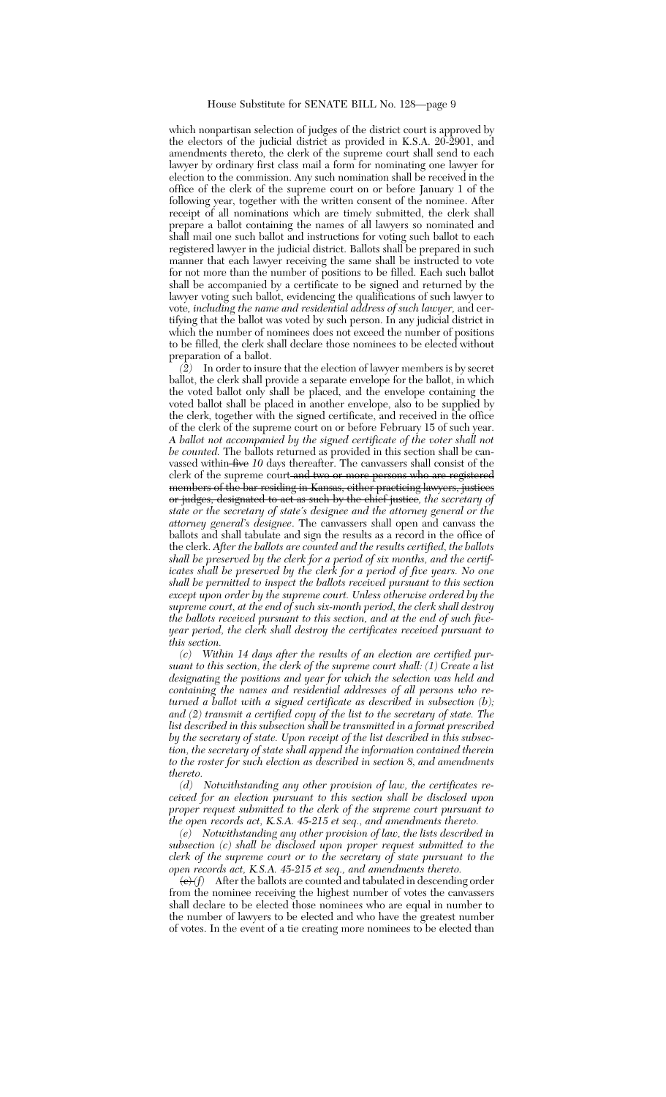## House Substitute for SENATE BILL No. 128—page 9

which nonpartisan selection of judges of the district court is approved by the electors of the judicial district as provided in K.S.A. 20-2901, and amendments thereto, the clerk of the supreme court shall send to each lawyer by ordinary first class mail a form for nominating one lawyer for election to the commission. Any such nomination shall be received in the office of the clerk of the supreme court on or before January 1 of the following year, together with the written consent of the nominee. After receipt of all nominations which are timely submitted, the clerk shall prepare a ballot containing the names of all lawyers so nominated and shall mail one such ballot and instructions for voting such ballot to each registered lawyer in the judicial district. Ballots shall be prepared in such manner that each lawyer receiving the same shall be instructed to vote for not more than the number of positions to be filled. Each such ballot shall be accompanied by a certificate to be signed and returned by the lawyer voting such ballot, evidencing the qualifications of such lawyer to vote*, including the name and residential address of such lawyer,* and certifying that the ballot was voted by such person. In any judicial district in which the number of nominees does not exceed the number of positions to be filled, the clerk shall declare those nominees to be elected without preparation of a ballot.

*(2)* In order to insure that the election of lawyer members is by secret ballot, the clerk shall provide a separate envelope for the ballot, in which the voted ballot only shall be placed, and the envelope containing the voted ballot shall be placed in another envelope, also to be supplied by the clerk, together with the signed certificate, and received in the office of the clerk of the supreme court on or before February 15 of such year. *A ballot not accompanied by the signed certificate of the voter shall not be counted.* The ballots returned as provided in this section shall be canvassed within five *10* days thereafter. The canvassers shall consist of the clerk of the supreme court and two or more persons who are registered elerk of the bar residing in Kansas, either practicing lawyers, justices or judges, designated to act as such by the chief justice*, the secretary of state or the secretary of state's designee and the attorney general or the attorney general's designee*. The canvassers shall open and canvass the ballots and shall tabulate and sign the results as a record in the office of the clerk. *After the ballots are counted and the results certified, the ballots shall be preserved by the clerk for a period of six months, and the certificates shall be preserved by the clerk for a period of five years. No one shall be permitted to inspect the ballots received pursuant to this section except upon order by the supreme court. Unless otherwise ordered by the supreme court, at the end of such six-month period, the clerk shall destroy the ballots received pursuant to this section, and at the end of such fiveyear period, the clerk shall destroy the certificates received pursuant to this section.*

*(c) Within 14 days after the results of an election are certified pursuant to this section, the clerk of the supreme court shall: (1) Create a list designating the positions and year for which the selection was held and containing the names and residential addresses of all persons who returned a ballot with a signed certificate as described in subsection (b); and (2) transmit a certified copy of the list to the secretary of state. The list described in this subsection shall be transmitted in a format prescribed by the secretary of state. Upon receipt of the list described in this subsection, the secretary of state shall append the information contained therein to the roster for such election as described in section 8, and amendments thereto.*

*(d) Notwithstanding any other provision of law, the certificates received for an election pursuant to this section shall be disclosed upon proper request submitted to the clerk of the supreme court pursuant to the open records act, K.S.A. 45-215 et seq., and amendments thereto.*

*(e) Notwithstanding any other provision of law, the lists described in subsection (c) shall be disclosed upon proper request submitted to the clerk of the supreme court or to the secretary of state pursuant to the open records act, K.S.A. 45-215 et seq., and amendments thereto.*

 $\langle e \rangle$  *(f)* After the ballots are counted and tabulated in descending order from the nominee receiving the highest number of votes the canvassers shall declare to be elected those nominees who are equal in number to the number of lawyers to be elected and who have the greatest number of votes. In the event of a tie creating more nominees to be elected than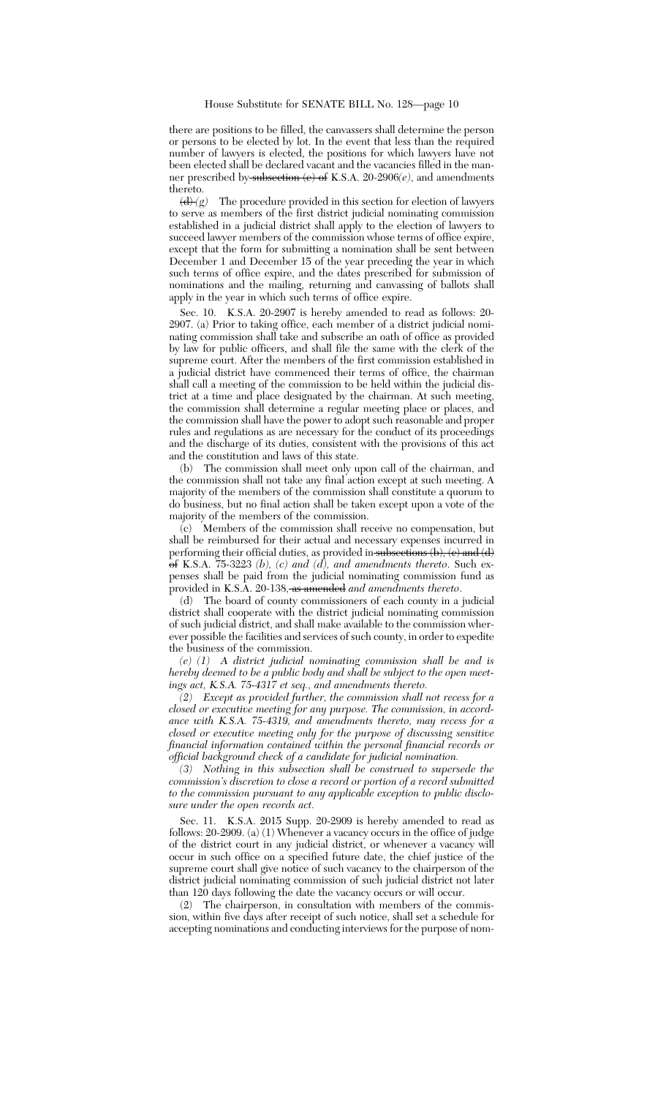there are positions to be filled, the canvassers shall determine the person or persons to be elected by lot. In the event that less than the required number of lawyers is elected, the positions for which lawyers have not been elected shall be declared vacant and the vacancies filled in the manner prescribed by subsection (e) of K.S.A. 20-2906*(e)*, and amendments

thereto.<br> $\frac{d}{dx}(g)$ The procedure provided in this section for election of lawyers to serve as members of the first district judicial nominating commission established in a judicial district shall apply to the election of lawyers to succeed lawyer members of the commission whose terms of office expire, except that the form for submitting a nomination shall be sent between December 1 and December 15 of the year preceding the year in which such terms of office expire, and the dates prescribed for submission of nominations and the mailing, returning and canvassing of ballots shall apply in the year in which such terms of office expire.

Sec. 10. K.S.A. 20-2907 is hereby amended to read as follows: 20- 2907. (a) Prior to taking office, each member of a district judicial nominating commission shall take and subscribe an oath of office as provided by law for public officers, and shall file the same with the clerk of the supreme court. After the members of the first commission established in a judicial district have commenced their terms of office, the chairman shall call a meeting of the commission to be held within the judicial district at a time and place designated by the chairman. At such meeting, the commission shall determine a regular meeting place or places, and the commission shall have the power to adopt such reasonable and proper rules and regulations as are necessary for the conduct of its proceedings and the discharge of its duties, consistent with the provisions of this act and the constitution and laws of this state.

(b) The commission shall meet only upon call of the chairman, and the commission shall not take any final action except at such meeting. A majority of the members of the commission shall constitute a quorum to do business, but no final action shall be taken except upon a vote of the majority of the members of the commission.

(c) Members of the commission shall receive no compensation, but shall be reimbursed for their actual and necessary expenses incurred in performing their official duties, as provided in subsections (b), (e) and (d) of K.S.A. 75-3223 *(b), (c) and (d), and amendments thereto*. Such expenses shall be paid from the judicial nominating commission fund as provided in K.S.A. 20-138, as amended *and amendments thereto*.

(d) The board of county commissioners of each county in a judicial district shall cooperate with the district judicial nominating commission of such judicial district, and shall make available to the commission wherever possible the facilities and services of such county, in order to expedite the business of the commission.

*(e) (1) A district judicial nominating commission shall be and is hereby deemed to be a public body and shall be subject to the open meetings act, K.S.A. 75-4317 et seq., and amendments thereto.*

*(2) Except as provided further, the commission shall not recess for a closed or executive meeting for any purpose. The commission, in accordance with K.S.A. 75-4319, and amendments thereto, may recess for a closed or executive meeting only for the purpose of discussing sensitive financial information contained within the personal financial records or official background check of a candidate for judicial nomination.*

*(3) Nothing in this subsection shall be construed to supersede the commission's discretion to close a record or portion of a record submitted to the commission pursuant to any applicable exception to public disclosure under the open records act.*

Sec. 11. K.S.A. 2015 Supp. 20-2909 is hereby amended to read as follows: 20-2909. (a) (1) Whenever a vacancy occurs in the office of judge of the district court in any judicial district, or whenever a vacancy will occur in such office on a specified future date, the chief justice of the supreme court shall give notice of such vacancy to the chairperson of the district judicial nominating commission of such judicial district not later than 120 days following the date the vacancy occurs or will occur.

(2) The chairperson, in consultation with members of the commission, within five days after receipt of such notice, shall set a schedule for accepting nominations and conducting interviews for the purpose of nom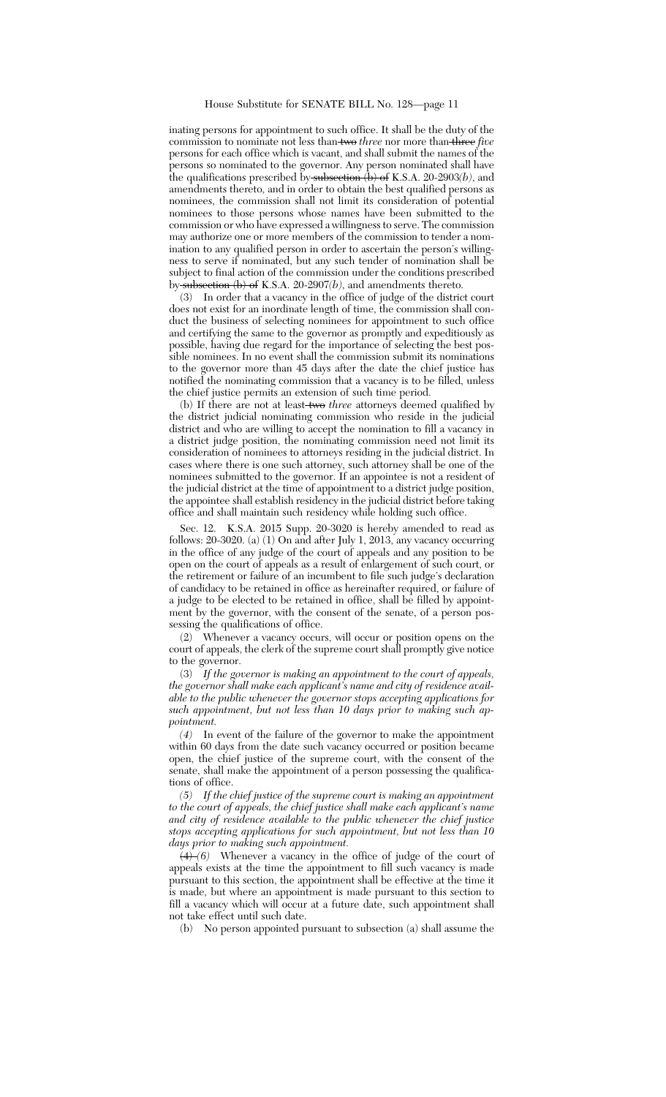inating persons for appointment to such office. It shall be the duty of the commission to nominate not less than two *three* nor more than three *five* persons for each office which is vacant, and shall submit the names of the persons so nominated to the governor. Any person nominated shall have the qualifications prescribed by subsection (b) of K.S.A. 20-2903(b), and amendments thereto, and in order to obtain the best qualified persons as nominees, the commission shall not limit its consideration of potential nominees to those persons whose names have been submitted to the commission or who have expressed a willingness to serve. The commission may authorize one or more members of the commission to tender a nomination to any qualified person in order to ascertain the person's willingness to serve if nominated, but any such tender of nomination shall be subject to final action of the commission under the conditions prescribed by subsection (b) of K.S.A. 20-2907*(b)*, and amendments thereto.

(3) In order that a vacancy in the office of judge of the district court does not exist for an inordinate length of time, the commission shall conduct the business of selecting nominees for appointment to such office and certifying the same to the governor as promptly and expeditiously as possible, having due regard for the importance of selecting the best possible nominees. In no event shall the commission submit its nominations to the governor more than 45 days after the date the chief justice has notified the nominating commission that a vacancy is to be filled, unless the chief justice permits an extension of such time period.

(b) If there are not at least two *three* attorneys deemed qualified by the district judicial nominating commission who reside in the judicial district and who are willing to accept the nomination to fill a vacancy in a district judge position, the nominating commission need not limit its consideration of nominees to attorneys residing in the judicial district. In cases where there is one such attorney, such attorney shall be one of the nominees submitted to the governor. If an appointee is not a resident of the judicial district at the time of appointment to a district judge position, the appointee shall establish residency in the judicial district before taking office and shall maintain such residency while holding such office.

Sec. 12. K.S.A. 2015 Supp. 20-3020 is hereby amended to read as follows: 20-3020. (a) (1) On and after July 1, 2013, any vacancy occurring in the office of any judge of the court of appeals and any position to be open on the court of appeals as a result of enlargement of such court, or the retirement or failure of an incumbent to file such judge's declaration of candidacy to be retained in office as hereinafter required, or failure of a judge to be elected to be retained in office, shall be filled by appointment by the governor, with the consent of the senate, of a person possessing the qualifications of office.

(2) Whenever a vacancy occurs, will occur or position opens on the court of appeals, the clerk of the supreme court shall promptly give notice to the governor.

(3) *If the governor is making an appointment to the court of appeals, the governor shall make each applicant's name and city of residence available to the public whenever the governor stops accepting applications for such appointment, but not less than 10 days prior to making such appointment.*

*(4)* In event of the failure of the governor to make the appointment within 60 days from the date such vacancy occurred or position became open, the chief justice of the supreme court, with the consent of the senate, shall make the appointment of a person possessing the qualifications of office.

*(5) If the chief justice of the supreme court is making an appointment to the court of appeals, the chief justice shall make each applicant's name and city of residence available to the public whenever the chief justice stops accepting applications for such appointment, but not less than 10 days prior to making such appointment.*

(4) *(6)* Whenever a vacancy in the office of judge of the court of appeals exists at the time the appointment to fill such vacancy is made pursuant to this section, the appointment shall be effective at the time it is made, but where an appointment is made pursuant to this section to fill a vacancy which will occur at a future date, such appointment shall not take effect until such date.

(b) No person appointed pursuant to subsection (a) shall assume the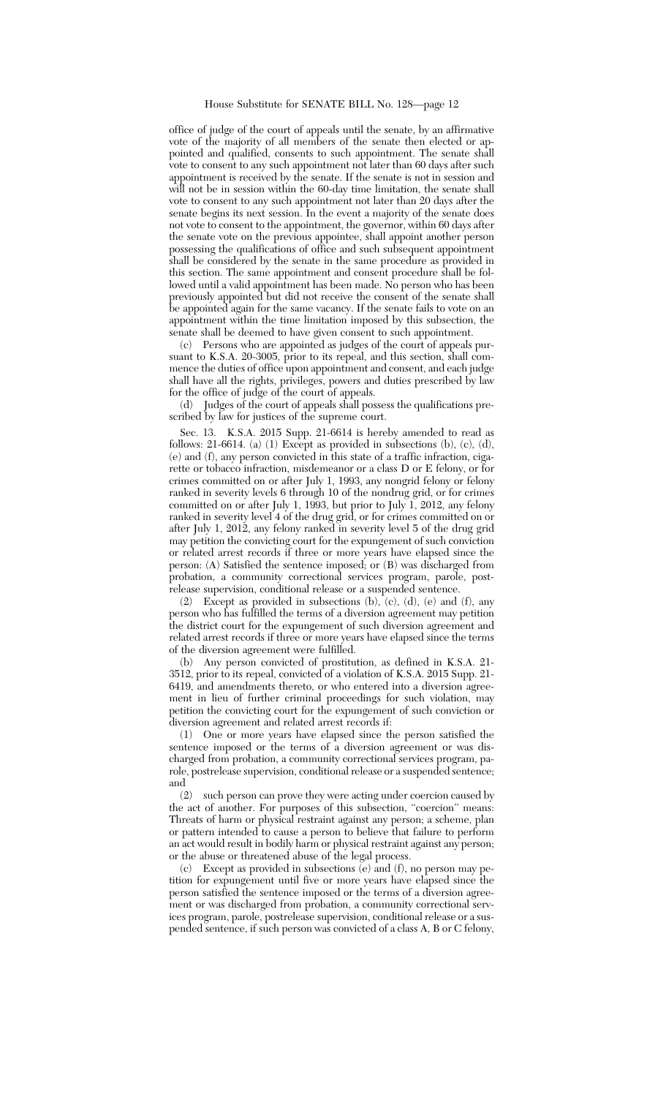office of judge of the court of appeals until the senate, by an affirmative vote of the majority of all members of the senate then elected or appointed and qualified, consents to such appointment. The senate shall vote to consent to any such appointment not later than 60 days after such appointment is received by the senate. If the senate is not in session and will not be in session within the 60-day time limitation, the senate shall vote to consent to any such appointment not later than 20 days after the senate begins its next session. In the event a majority of the senate does not vote to consent to the appointment, the governor, within 60 days after the senate vote on the previous appointee, shall appoint another person possessing the qualifications of office and such subsequent appointment shall be considered by the senate in the same procedure as provided in this section. The same appointment and consent procedure shall be followed until a valid appointment has been made. No person who has been previously appointed but did not receive the consent of the senate shall be appointed again for the same vacancy. If the senate fails to vote on an appointment within the time limitation imposed by this subsection, the senate shall be deemed to have given consent to such appointment.

(c) Persons who are appointed as judges of the court of appeals pursuant to K.S.A. 20-3005, prior to its repeal, and this section, shall commence the duties of office upon appointment and consent, and each judge shall have all the rights, privileges, powers and duties prescribed by law for the office of judge of the court of appeals.

(d) Judges of the court of appeals shall possess the qualifications prescribed by law for justices of the supreme court.

Sec. 13. K.S.A. 2015 Supp. 21-6614 is hereby amended to read as follows: 21-6614. (a) (1) Except as provided in subsections (b), (c), (d), (e) and (f), any person convicted in this state of a traffic infraction, cigarette or tobacco infraction, misdemeanor or a class D or E felony, or for crimes committed on or after July 1, 1993, any nongrid felony or felony ranked in severity levels 6 through 10 of the nondrug grid, or for crimes committed on or after July 1, 1993, but prior to July 1, 2012, any felony ranked in severity level 4 of the drug grid, or for crimes committed on or after July 1, 2012, any felony ranked in severity level 5 of the drug grid may petition the convicting court for the expungement of such conviction or related arrest records if three or more years have elapsed since the person: (A) Satisfied the sentence imposed; or (B) was discharged from probation, a community correctional services program, parole, postrelease supervision, conditional release or a suspended sentence.

(2) Except as provided in subsections (b), (c), (d), (e) and (f), any person who has fulfilled the terms of a diversion agreement may petition the district court for the expungement of such diversion agreement and related arrest records if three or more years have elapsed since the terms of the diversion agreement were fulfilled.

(b) Any person convicted of prostitution, as defined in K.S.A. 21- 3512, prior to its repeal, convicted of a violation of K.S.A. 2015 Supp. 21- 6419, and amendments thereto, or who entered into a diversion agreement in lieu of further criminal proceedings for such violation, may petition the convicting court for the expungement of such conviction or diversion agreement and related arrest records if:

(1) One or more years have elapsed since the person satisfied the sentence imposed or the terms of a diversion agreement or was discharged from probation, a community correctional services program, parole, postrelease supervision, conditional release or a suspended sentence; and

(2) such person can prove they were acting under coercion caused by the act of another. For purposes of this subsection, "coercion" means: Threats of harm or physical restraint against any person; a scheme, plan or pattern intended to cause a person to believe that failure to perform an act would result in bodily harm or physical restraint against any person; or the abuse or threatened abuse of the legal process.

(c) Except as provided in subsections (e) and (f), no person may petition for expungement until five or more years have elapsed since the person satisfied the sentence imposed or the terms of a diversion agreement or was discharged from probation, a community correctional services program, parole, postrelease supervision, conditional release or a suspended sentence, if such person was convicted of a class A, B or C felony,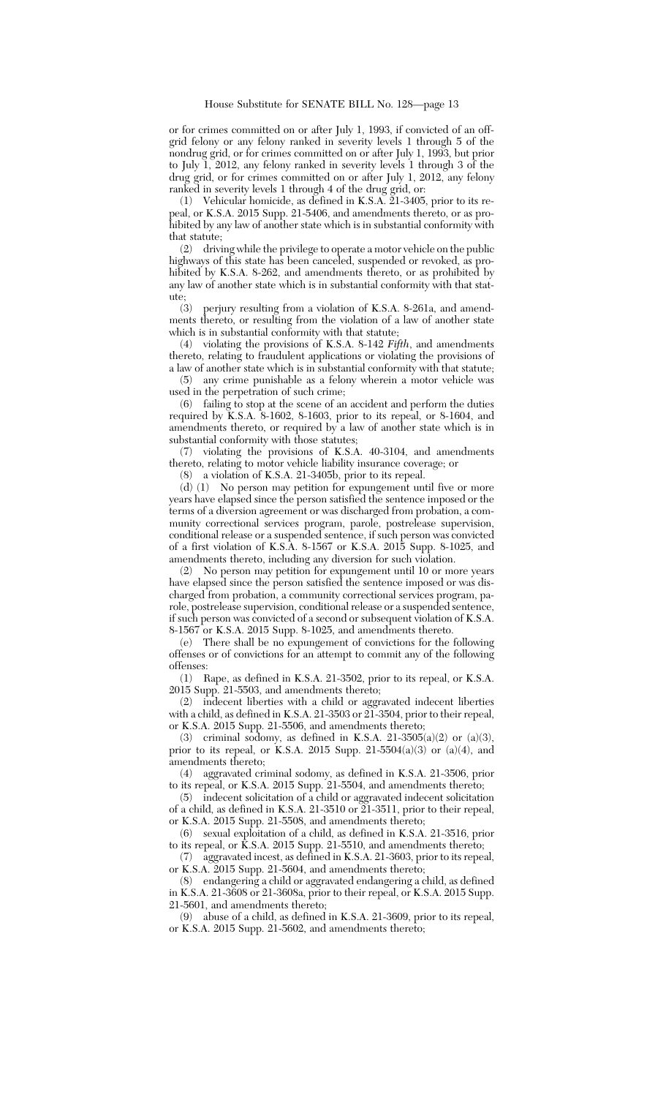or for crimes committed on or after July 1, 1993, if convicted of an offgrid felony or any felony ranked in severity levels 1 through 5 of the nondrug grid, or for crimes committed on or after July 1, 1993, but prior to July 1, 2012, any felony ranked in severity levels 1 through 3 of the drug grid, or for crimes committed on or after July 1, 2012, any felony ranked in severity levels 1 through 4 of the drug grid, or:

(1) Vehicular homicide, as defined in K.S.A. 21-3405, prior to its repeal, or K.S.A. 2015 Supp. 21-5406, and amendments thereto, or as prohibited by any law of another state which is in substantial conformity with that statute;

(2) driving while the privilege to operate a motor vehicle on the public highways of this state has been canceled, suspended or revoked, as prohibited by K.S.A. 8-262, and amendments thereto, or as prohibited by any law of another state which is in substantial conformity with that stat-

ute;<br> $(3)$ perjury resulting from a violation of K.S.A. 8-261a, and amendments thereto, or resulting from the violation of a law of another state which is in substantial conformity with that statute;

(4) violating the provisions of K.S.A. 8-142 *Fifth*, and amendments thereto, relating to fraudulent applications or violating the provisions of a law of another state which is in substantial conformity with that statute;

(5) any crime punishable as a felony wherein a motor vehicle was used in the perpetration of such crime;

(6) failing to stop at the scene of an accident and perform the duties required by K.S.A. 8-1602, 8-1603, prior to its repeal, or 8-1604, and amendments thereto, or required by a law of another state which is in substantial conformity with those statutes;

(7) violating the provisions of K.S.A. 40-3104, and amendments thereto, relating to motor vehicle liability insurance coverage; or

(8) a violation of K.S.A. 21-3405b, prior to its repeal.

(d) (1) No person may petition for expungement until five or more years have elapsed since the person satisfied the sentence imposed or the terms of a diversion agreement or was discharged from probation, a community correctional services program, parole, postrelease supervision, conditional release or a suspended sentence, if such person was convicted of a first violation of K.S.A. 8-1567 or K.S.A. 2015 Supp. 8-1025, and amendments thereto, including any diversion for such violation.

(2) No person may petition for expungement until 10 or more years have elapsed since the person satisfied the sentence imposed or was discharged from probation, a community correctional services program, parole, postrelease supervision, conditional release or a suspended sentence, if such person was convicted of a second or subsequent violation of K.S.A. 8-1567 or K.S.A. 2015 Supp. 8-1025, and amendments thereto.

(e) There shall be no expungement of convictions for the following offenses or of convictions for an attempt to commit any of the following offenses:

(1) Rape, as defined in K.S.A. 21-3502, prior to its repeal, or K.S.A. 2015 Supp. 21-5503, and amendments thereto;

(2) indecent liberties with a child or aggravated indecent liberties with a child, as defined in K.S.A. 21-3503 or 21-3504, prior to their repeal, or K.S.A. 2015 Supp. 21-5506, and amendments thereto;

(3) criminal sodomy, as defined in K.S.A. 21-3505(a)(2) or (a)(3), prior to its repeal, or K.S.A. 2015 Supp. 21-5504(a)(3) or (a)(4), and amendments thereto;

(4) aggravated criminal sodomy, as defined in K.S.A. 21-3506, prior to its repeal, or K.S.A. 2015 Supp. 21-5504, and amendments thereto;

(5) indecent solicitation of a child or aggravated indecent solicitation of a child, as defined in K.S.A. 21-3510 or  $\widetilde{21}$ -3511, prior to their repeal, or K.S.A. 2015 Supp. 21-5508, and amendments thereto;

(6) sexual exploitation of a child, as defined in K.S.A. 21-3516, prior to its repeal, or K.S.A. 2015 Supp. 21-5510, and amendments thereto;

(7) aggravated incest, as defined in K.S.A. 21-3603, prior to its repeal, or K.S.A. 2015 Supp. 21-5604, and amendments thereto;

(8) endangering a child or aggravated endangering a child, as defined in K.S.A. 21-3608 or 21-3608a, prior to their repeal, or K.S.A. 2015 Supp. 21-5601, and amendments thereto;

(9) abuse of a child, as defined in K.S.A. 21-3609, prior to its repeal, or K.S.A. 2015 Supp. 21-5602, and amendments thereto;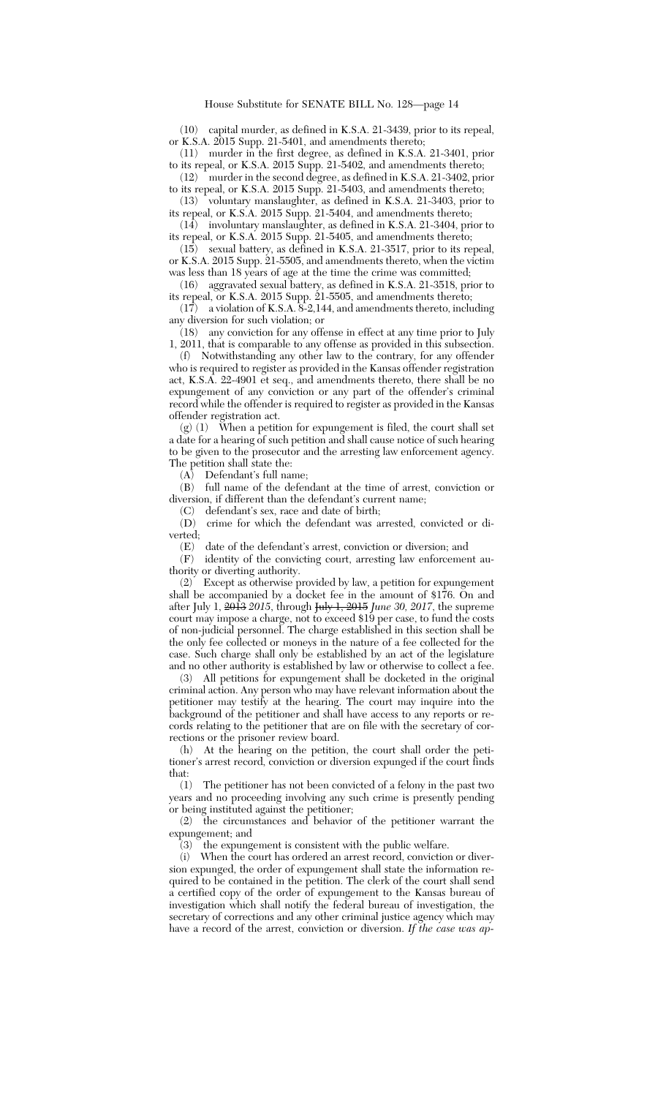(10) capital murder, as defined in K.S.A. 21-3439, prior to its repeal, or K.S.A. 2015 Supp. 21-5401, and amendments thereto;

(11) murder in the first degree, as defined in K.S.A. 21-3401, prior to its repeal, or K.S.A. 2015 Supp. 21-5402, and amendments thereto;

(12) murder in the second degree, as defined in K.S.A. 21-3402, prior to its repeal, or K.S.A. 2015 Supp. 21-5403, and amendments thereto;

(13) voluntary manslaughter, as defined in K.S.A. 21-3403, prior to its repeal, or K.S.A. 2015 Supp. 21-5404, and amendments thereto;

(14) involuntary manslaughter, as defined in K.S.A. 21-3404, prior to its repeal, or K.S.A. 2015 Supp. 21-5405, and amendments thereto;

(15) sexual battery, as defined in K.S.A. 21-3517, prior to its repeal, or K.S.A. 2015 Supp. 21-5505, and amendments thereto, when the victim was less than 18 years of age at the time the crime was committed;<br>(16) aggravated sexual battery, as defined in K.S.A. 21-3518, pri

aggravated sexual battery, as defined in K.S.A. 21-3518, prior to its repeal, or K.S.A. 2015 Supp. 21-5505, and amendments thereto;

(17) a violation of K.S.A. 8-2,144, and amendments thereto, including any diversion for such violation; or

(18) any conviction for any offense in effect at any time prior to July 1, 2011, that is comparable to any offense as provided in this subsection.

(f) Notwithstanding any other law to the contrary, for any offender who is required to register as provided in the Kansas offender registration act, K.S.A. 22-4901 et seq., and amendments thereto, there shall be no expungement of any conviction or any part of the offender's criminal record while the offender is required to register as provided in the Kansas offender registration act.

 $(g)$  (1) When a petition for expungement is filed, the court shall set a date for a hearing of such petition and shall cause notice of such hearing to be given to the prosecutor and the arresting law enforcement agency. The petition shall state the:

(A) Defendant's full name;

(B) full name of the defendant at the time of arrest, conviction or diversion, if different than the defendant's current name;

(C) defendant's sex, race and date of birth;

crime for which the defendant was arrested, convicted or diverted;

(E) date of the defendant's arrest, conviction or diversion; and

(F) identity of the convicting court, arresting law enforcement authority or diverting authority.

(2) Except as otherwise provided by law, a petition for expungement shall be accompanied by a docket fee in the amount of \$176. On and after July 1, 2013 *2015*, through July 1, 2015 *June 30, 2017*, the supreme court may impose a charge, not to exceed \$19 per case, to fund the costs of non-judicial personnel. The charge established in this section shall be the only fee collected or moneys in the nature of a fee collected for the case. Such charge shall only be established by an act of the legislature and no other authority is established by law or otherwise to collect a fee.

(3) All petitions for expungement shall be docketed in the original criminal action. Any person who may have relevant information about the petitioner may testify at the hearing. The court may inquire into the background of the petitioner and shall have access to any reports or records relating to the petitioner that are on file with the secretary of corrections or the prisoner review board.

(h) At the hearing on the petition, the court shall order the petitioner's arrest record, conviction or diversion expunged if the court finds that:

(1) The petitioner has not been convicted of a felony in the past two years and no proceeding involving any such crime is presently pending or being instituted against the petitioner;

(2) the circumstances and behavior of the petitioner warrant the expungement; and

(3) the expungement is consistent with the public welfare.

(i) When the court has ordered an arrest record, conviction or diversion expunged, the order of expungement shall state the information required to be contained in the petition. The clerk of the court shall send a certified copy of the order of expungement to the Kansas bureau of investigation which shall notify the federal bureau of investigation, the secretary of corrections and any other criminal justice agency which may have a record of the arrest, conviction or diversion. *If the case was ap-*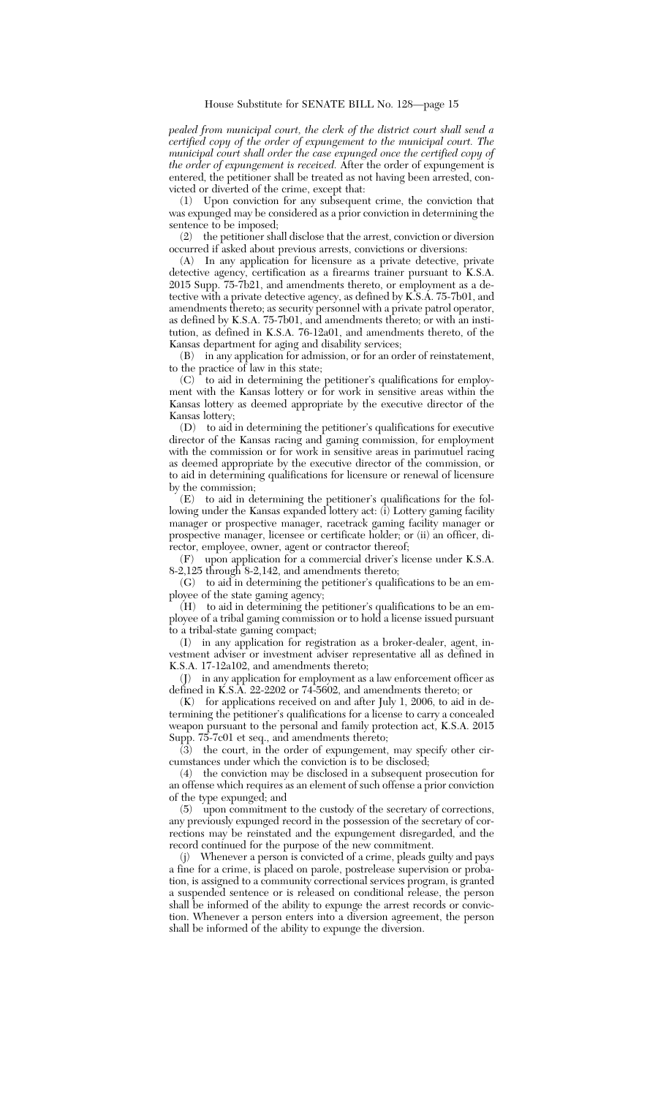## House Substitute for SENATE BILL No. 128—page 15

*pealed from municipal court, the clerk of the district court shall send a certified copy of the order of expungement to the municipal court. The municipal court shall order the case expunged once the certified copy of the order of expungement is received.* After the order of expungement is entered, the petitioner shall be treated as not having been arrested, convicted or diverted of the crime, except that:

(1) Upon conviction for any subsequent crime, the conviction that was expunged may be considered as a prior conviction in determining the sentence to be imposed;

(2) the petitioner shall disclose that the arrest, conviction or diversion occurred if asked about previous arrests, convictions or diversions:

(A) In any application for licensure as a private detective, private detective agency, certification as a firearms trainer pursuant to K.S.A. 2015 Supp. 75-7b21, and amendments thereto, or employment as a detective with a private detective agency, as defined by K.S.A. 75-7b01, and amendments thereto; as security personnel with a private patrol operator, as defined by K.S.A. 75-7b01, and amendments thereto; or with an institution, as defined in K.S.A. 76-12a01, and amendments thereto, of the Kansas department for aging and disability services;

(B) in any application for admission, or for an order of reinstatement, to the practice of law in this state;

 $(C)$  to aid in determining the petitioner's qualifications for employment with the Kansas lottery or for work in sensitive areas within the Kansas lottery as deemed appropriate by the executive director of the Kansas lottery;

(D) to aid in determining the petitioner's qualifications for executive director of the Kansas racing and gaming commission, for employment with the commission or for work in sensitive areas in parimutuel racing as deemed appropriate by the executive director of the commission, or to aid in determining qualifications for licensure or renewal of licensure by the commission;

(E) to aid in determining the petitioner's qualifications for the following under the Kansas expanded lottery act: (i) Lottery gaming facility manager or prospective manager, racetrack gaming facility manager or prospective manager, licensee or certificate holder; or (ii) an officer, director, employee, owner, agent or contractor thereof;

(F) upon application for a commercial driver's license under K.S.A. 8-2,125 through 8-2,142, and amendments thereto;

(G) to aid in determining the petitioner's qualifications to be an employee of the state gaming agency;

(H) to aid in determining the petitioner's qualifications to be an employee of a tribal gaming commission or to hold a license issued pursuant to a tribal-state gaming compact;

(I) in any application for registration as a broker-dealer, agent, investment adviser or investment adviser representative all as defined in K.S.A. 17-12a102, and amendments thereto;

(J) in any application for employment as a law enforcement officer as defined in K.S.A. 22-2202 or 74-5602, and amendments thereto; or

 $(K)$  for applications received on and after July 1, 2006, to aid in determining the petitioner's qualifications for a license to carry a concealed weapon pursuant to the personal and family protection act, K.S.A. 2015 Supp. 75-7c01 et seq., and amendments thereto;

(3) the court, in the order of expungement, may specify other circumstances under which the conviction is to be disclosed;

(4) the conviction may be disclosed in a subsequent prosecution for an offense which requires as an element of such offense a prior conviction of the type expunged; and

(5) upon commitment to the custody of the secretary of corrections, any previously expunged record in the possession of the secretary of corrections may be reinstated and the expungement disregarded, and the record continued for the purpose of the new commitment.

(j) Whenever a person is convicted of a crime, pleads guilty and pays a fine for a crime, is placed on parole, postrelease supervision or probation, is assigned to a community correctional services program, is granted a suspended sentence or is released on conditional release, the person shall be informed of the ability to expunge the arrest records or conviction. Whenever a person enters into a diversion agreement, the person shall be informed of the ability to expunge the diversion.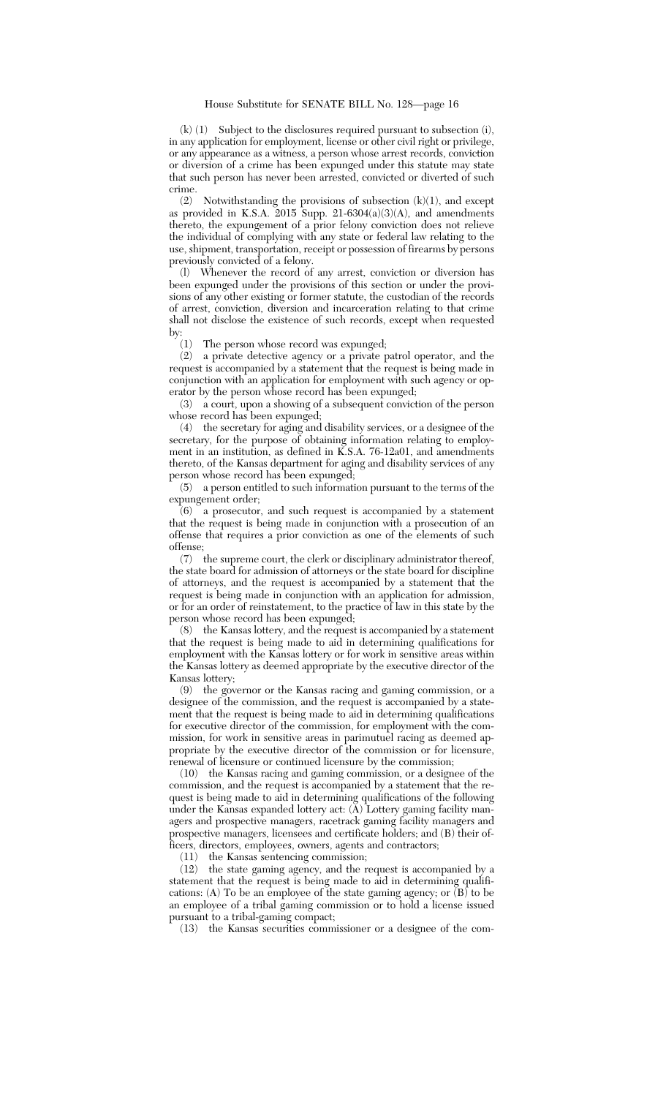(k) (1) Subject to the disclosures required pursuant to subsection (i), in any application for employment, license or other civil right or privilege, or any appearance as a witness, a person whose arrest records, conviction or diversion of a crime has been expunged under this statute may state that such person has never been arrested, convicted or diverted of such crime.

(2) Notwithstanding the provisions of subsection (k)(1), and except as provided in K.S.A. 2015 Supp. 21-6304(a)(3)(A), and amendments thereto, the expungement of a prior felony conviction does not relieve the individual of complying with any state or federal law relating to the use, shipment, transportation, receipt or possession of firearms by persons previously convicted of a felony.

(l) Whenever the record of any arrest, conviction or diversion has been expunged under the provisions of this section or under the provisions of any other existing or former statute, the custodian of the records of arrest, conviction, diversion and incarceration relating to that crime shall not disclose the existence of such records, except when requested by:  $\binom{1}{1}$ 

The person whose record was expunged;

(2) a private detective agency or a private patrol operator, and the request is accompanied by a statement that the request is being made in conjunction with an application for employment with such agency or operator by the person whose record has been expunged;

(3) a court, upon a showing of a subsequent conviction of the person whose record has been expunged;

(4) the secretary for aging and disability services, or a designee of the secretary, for the purpose of obtaining information relating to employment in an institution, as defined in K.S.A. 76-12a01, and amendments thereto, of the Kansas department for aging and disability services of any person whose record has been expunged;

(5) a person entitled to such information pursuant to the terms of the expungement order;

(6) a prosecutor, and such request is accompanied by a statement that the request is being made in conjunction with a prosecution of an offense that requires a prior conviction as one of the elements of such offense;

(7) the supreme court, the clerk or disciplinary administrator thereof, the state board for admission of attorneys or the state board for discipline of attorneys, and the request is accompanied by a statement that the request is being made in conjunction with an application for admission, or for an order of reinstatement, to the practice of law in this state by the person whose record has been expunged;

(8) the Kansas lottery, and the request is accompanied by a statement that the request is being made to aid in determining qualifications for employment with the Kansas lottery or for work in sensitive areas within the Kansas lottery as deemed appropriate by the executive director of the Kansas lottery;

(9) the governor or the Kansas racing and gaming commission, or a designee of the commission, and the request is accompanied by a statement that the request is being made to aid in determining qualifications for executive director of the commission, for employment with the commission, for work in sensitive areas in parimutuel racing as deemed appropriate by the executive director of the commission or for licensure, renewal of licensure or continued licensure by the commission;

(10) the Kansas racing and gaming commission, or a designee of the commission, and the request is accompanied by a statement that the request is being made to aid in determining qualifications of the following under the Kansas expanded lottery act: (A) Lottery gaming facility managers and prospective managers, racetrack gaming facility managers and prospective managers, licensees and certificate holders; and (B) their officers, directors, employees, owners, agents and contractors;

(11) the Kansas sentencing commission;

(12) the state gaming agency, and the request is accompanied by a statement that the request is being made to aid in determining qualifications: (A) To be an employee of the state gaming agency; or  $(B)$  to be an employee of a tribal gaming commission or to hold a license issued pursuant to a tribal-gaming compact;

(13) the Kansas securities commissioner or a designee of the com-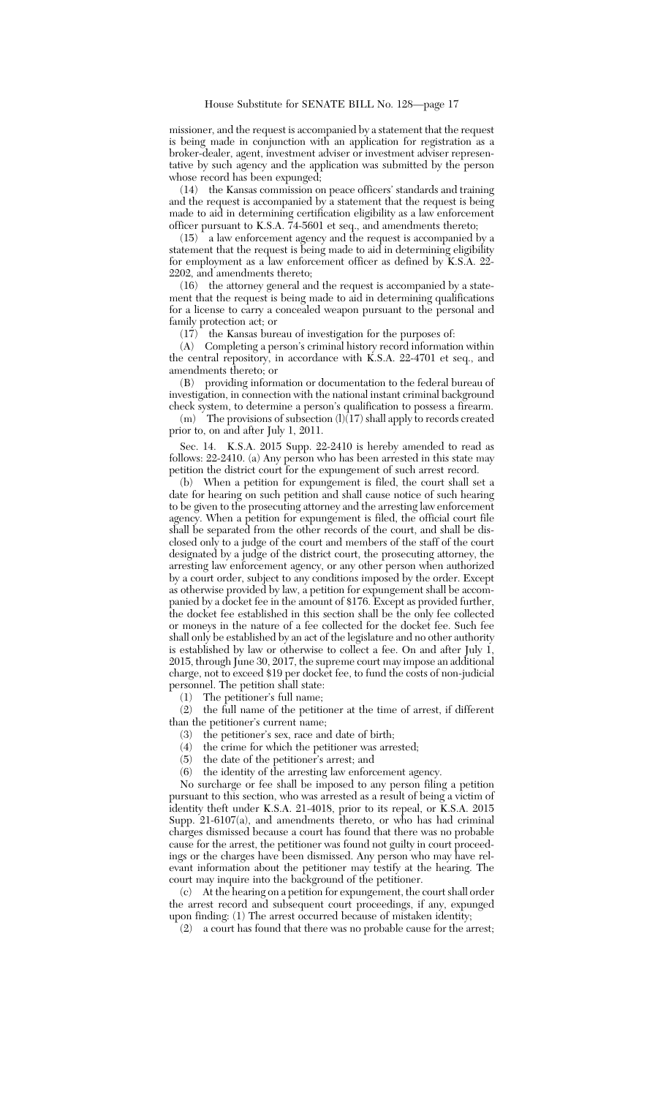missioner, and the request is accompanied by a statement that the request is being made in conjunction with an application for registration as a broker-dealer, agent, investment adviser or investment adviser representative by such agency and the application was submitted by the person whose record has been expunged;

(14) the Kansas commission on peace officers' standards and training and the request is accompanied by a statement that the request is being made to aid in determining certification eligibility as a law enforcement officer pursuant to K.S.A. 74-5601 et seq., and amendments thereto;

 $(15)$  a law enforcement agency and the request is accompanied by a statement that the request is being made to aid in determining eligibility for employment as a law enforcement officer as defined by K.S.A. 22- 2202, and amendments thereto;

(16) the attorney general and the request is accompanied by a statement that the request is being made to aid in determining qualifications for a license to carry a concealed weapon pursuant to the personal and family protection act; or

(17) the Kansas bureau of investigation for the purposes of:

(A) Completing a person's criminal history record information within the central repository, in accordance with K.S.A. 22-4701 et seq., and amendments thereto; or

(B) providing information or documentation to the federal bureau of investigation, in connection with the national instant criminal background check system, to determine a person's qualification to possess a firearm.

 $(m)$  The provisions of subsection  $(l)(17)$  shall apply to records created prior to, on and after July 1, 2011.

Sec. 14. K.S.A. 2015 Supp. 22-2410 is hereby amended to read as follows: 22-2410. (a) Any person who has been arrested in this state may petition the district court for the expungement of such arrest record.

(b) When a petition for expungement is filed, the court shall set a date for hearing on such petition and shall cause notice of such hearing to be given to the prosecuting attorney and the arresting law enforcement agency. When a petition for expungement is filed, the official court file shall be separated from the other records of the court, and shall be disclosed only to a judge of the court and members of the staff of the court designated by a judge of the district court, the prosecuting attorney, the arresting law enforcement agency, or any other person when authorized by a court order, subject to any conditions imposed by the order. Except as otherwise provided by law, a petition for expungement shall be accompanied by a docket fee in the amount of \$176. Except as provided further, the docket fee established in this section shall be the only fee collected or moneys in the nature of a fee collected for the docket fee. Such fee shall only be established by an act of the legislature and no other authority is established by law or otherwise to collect a fee. On and after July 1, 2015, through June 30, 2017, the supreme court may impose an additional charge, not to exceed \$19 per docket fee, to fund the costs of non-judicial personnel. The petition shall state:

(1) The petitioner's full name;

(2) the full name of the petitioner at the time of arrest, if different than the petitioner's current name;

- (3) the petitioner's sex, race and date of birth;
- (4) the crime for which the petitioner was arrested;
- (5) the date of the petitioner's arrest; and
- (6) the identity of the arresting law enforcement agency.

No surcharge or fee shall be imposed to any person filing a petition pursuant to this section, who was arrested as a result of being a victim of identity theft under K.S.A. 21-4018, prior to its repeal, or K.S.A. 2015 Supp. 21-6107(a), and amendments thereto, or who has had criminal charges dismissed because a court has found that there was no probable cause for the arrest, the petitioner was found not guilty in court proceedings or the charges have been dismissed. Any person who may have relevant information about the petitioner may testify at the hearing. The court may inquire into the background of the petitioner.

(c) At the hearing on a petition for expungement, the court shall order the arrest record and subsequent court proceedings, if any, expunged upon finding: (1) The arrest occurred because of mistaken identity;

(2) a court has found that there was no probable cause for the arrest;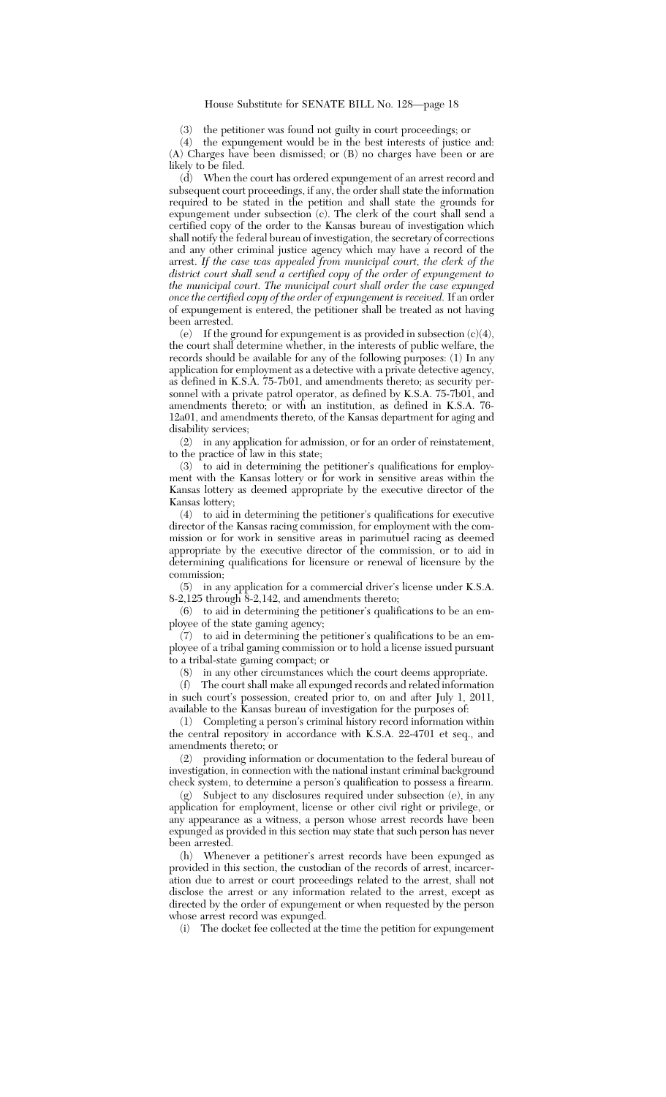(3) the petitioner was found not guilty in court proceedings; or

(4) the expungement would be in the best interests of justice and: (A) Charges have been dismissed; or (B) no charges have been or are likely to be filed.

(d) When the court has ordered expungement of an arrest record and subsequent court proceedings, if any, the order shall state the information required to be stated in the petition and shall state the grounds for expungement under subsection (c). The clerk of the court shall send a certified copy of the order to the Kansas bureau of investigation which shall notify the federal bureau of investigation, the secretary of corrections and any other criminal justice agency which may have a record of the arrest. *If the case was appealed from municipal court, the clerk of the district court shall send a certified copy of the order of expungement to the municipal court. The municipal court shall order the case expunged once the certified copy of the order of expungement is received.* If an order of expungement is entered, the petitioner shall be treated as not having been arrested.

(e) If the ground for expungement is as provided in subsection (c)(4), the court shall determine whether, in the interests of public welfare, the records should be available for any of the following purposes: (1) In any application for employment as a detective with a private detective agency, as defined in K.S.A. 75-7b01, and amendments thereto; as security personnel with a private patrol operator, as defined by K.S.A. 75-7b01, and amendments thereto; or with an institution, as defined in K.S.A. 76- 12a01, and amendments thereto, of the Kansas department for aging and disability services;

(2) in any application for admission, or for an order of reinstatement, to the practice of law in this state;

(3) to aid in determining the petitioner's qualifications for employment with the Kansas lottery or for work in sensitive areas within the Kansas lottery as deemed appropriate by the executive director of the Kansas lottery;

(4) to aid in determining the petitioner's qualifications for executive director of the Kansas racing commission, for employment with the commission or for work in sensitive areas in parimutuel racing as deemed appropriate by the executive director of the commission, or to aid in determining qualifications for licensure or renewal of licensure by the commission;

(5) in any application for a commercial driver's license under K.S.A. 8-2,125 through 8-2,142, and amendments thereto;

(6) to aid in determining the petitioner's qualifications to be an employee of the state gaming agency;

(7) to aid in determining the petitioner's qualifications to be an employee of a tribal gaming commission or to hold a license issued pursuant to a tribal-state gaming compact; or

(8) in any other circumstances which the court deems appropriate.

(f) The court shall make all expunged records and related information in such court's possession, created prior to, on and after July 1, 2011, available to the Kansas bureau of investigation for the purposes of:

(1) Completing a person's criminal history record information within the central repository in accordance with K.S.A. 22-4701 et seq., and amendments thereto; or

(2) providing information or documentation to the federal bureau of investigation, in connection with the national instant criminal background check system, to determine a person's qualification to possess a firearm.

(g) Subject to any disclosures required under subsection (e), in any application for employment, license or other civil right or privilege, or any appearance as a witness, a person whose arrest records have been expunged as provided in this section may state that such person has never been arrested.

(h) Whenever a petitioner's arrest records have been expunged as provided in this section, the custodian of the records of arrest, incarceration due to arrest or court proceedings related to the arrest, shall not disclose the arrest or any information related to the arrest, except as directed by the order of expungement or when requested by the person whose arrest record was expunged.

(i) The docket fee collected at the time the petition for expungement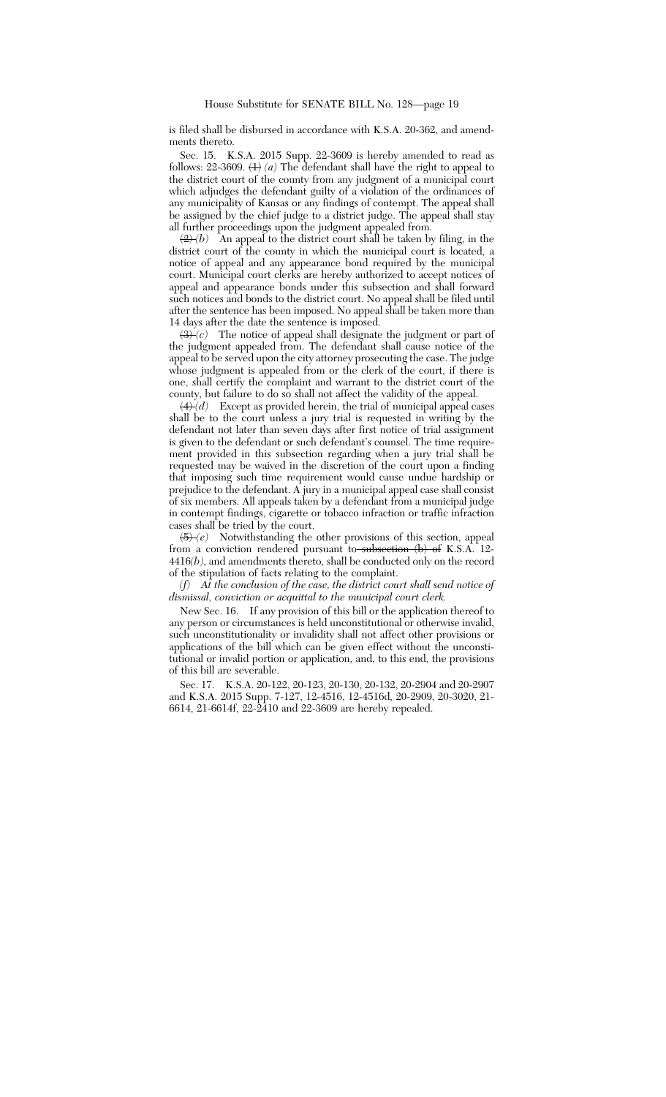is filed shall be disbursed in accordance with K.S.A. 20-362, and amendments thereto.

Sec. 15. K.S.A. 2015 Supp. 22-3609 is hereby amended to read as follows: 22-3609.  $\left\langle \frac{1}{2} \right\rangle$  *(a)* The defendant shall have the right to appeal to the district court of the county from any judgment of a municipal court which adjudges the defendant guilty of a violation of the ordinances of any municipality of Kansas or any findings of contempt. The appeal shall be assigned by the chief judge to a district judge. The appeal shall stay all further proceedings upon the judgment appealed from.

 $\left(\frac{2}{2}\right)(b)$  An appeal to the district court shall be taken by filing, in the district court of the county in which the municipal court is located, a notice of appeal and any appearance bond required by the municipal court. Municipal court clerks are hereby authorized to accept notices of appeal and appearance bonds under this subsection and shall forward such notices and bonds to the district court. No appeal shall be filed until after the sentence has been imposed. No appeal shall be taken more than 14 days after the date the sentence is imposed.

 $\left(3\right)$  *(c)* The notice of appeal shall designate the judgment or part of the judgment appealed from. The defendant shall cause notice of the appeal to be served upon the city attorney prosecuting the case. The judge whose judgment is appealed from or the clerk of the court, if there is one, shall certify the complaint and warrant to the district court of the county, but failure to do so shall not affect the validity of the appeal.

 $\overrightarrow{(4)}(d)$  Except as provided herein, the trial of municipal appeal cases shall be to the court unless a jury trial is requested in writing by the defendant not later than seven days after first notice of trial assignment is given to the defendant or such defendant's counsel. The time requirement provided in this subsection regarding when a jury trial shall be requested may be waived in the discretion of the court upon a finding that imposing such time requirement would cause undue hardship or prejudice to the defendant. A jury in a municipal appeal case shall consist of six members. All appeals taken by a defendant from a municipal judge in contempt findings, cigarette or tobacco infraction or traffic infraction cases shall be tried by the court.

(5) *(e)* Notwithstanding the other provisions of this section, appeal from a conviction rendered pursuant to subsection (b) of K.S.A. 12-4416*(b)*, and amendments thereto, shall be conducted only on the record of the stipulation of facts relating to the complaint.

*(f) At the conclusion of the case, the district court shall send notice of dismissal, conviction or acquittal to the municipal court clerk.*

New Sec. 16. If any provision of this bill or the application thereof to any person or circumstances is held unconstitutional or otherwise invalid, such unconstitutionality or invalidity shall not affect other provisions or applications of the bill which can be given effect without the unconstitutional or invalid portion or application, and, to this end, the provisions of this bill are severable.

Sec. 17. K.S.A. 20-122, 20-123, 20-130, 20-132, 20-2904 and 20-2907 and K.S.A. 2015 Supp. 7-127, 12-4516, 12-4516d, 20-2909, 20-3020, 21- 6614, 21-6614f, 22-2410 and 22-3609 are hereby repealed.